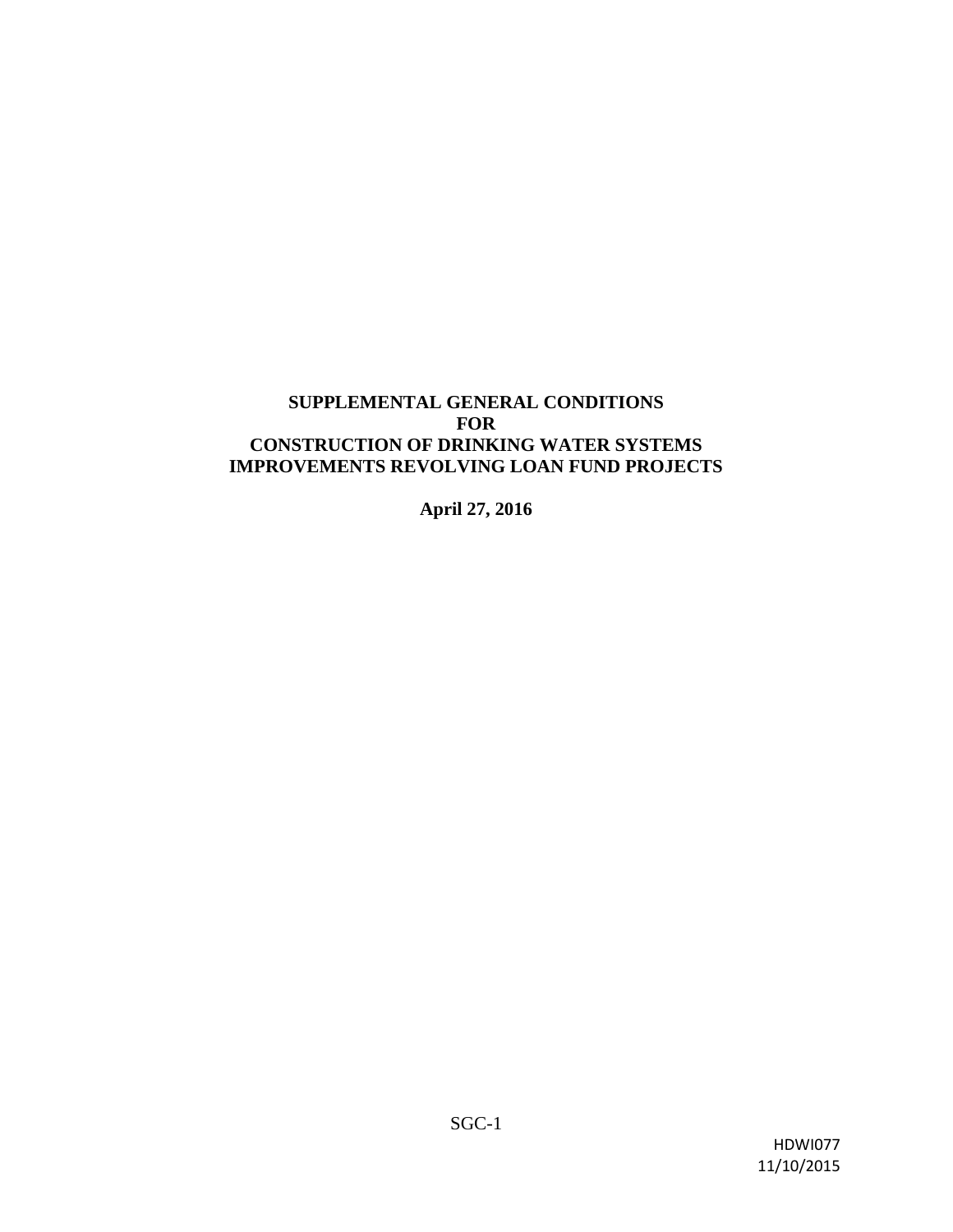### **SUPPLEMENTAL GENERAL CONDITIONS FOR CONSTRUCTION OF DRINKING WATER SYSTEMS IMPROVEMENTS REVOLVING LOAN FUND PROJECTS**

**April 27, 2016**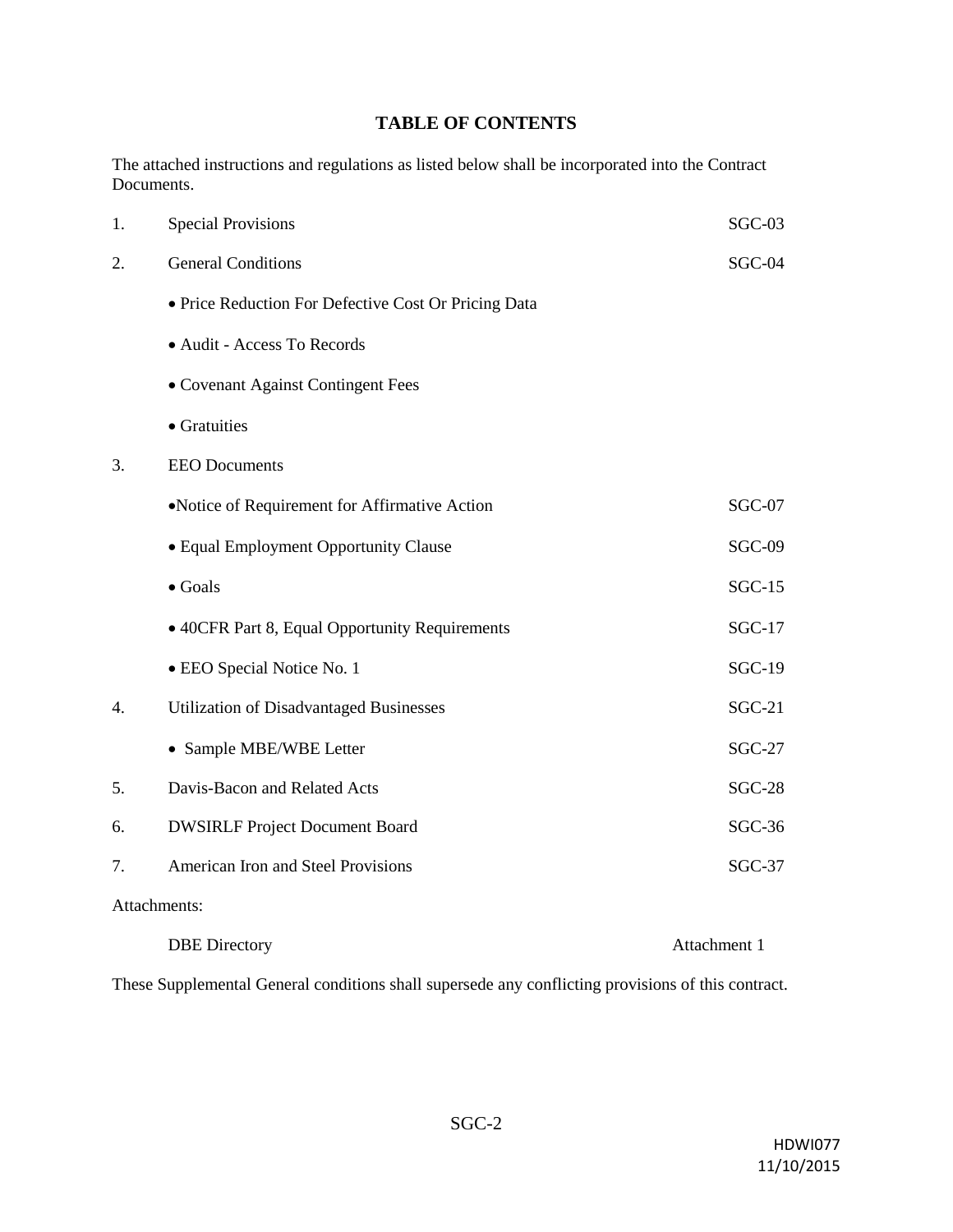# **TABLE OF CONTENTS**

The attached instructions and regulations as listed below shall be incorporated into the Contract Documents.

| 1.           | <b>Special Provisions</b>                            | $SGC-03$      |  |
|--------------|------------------------------------------------------|---------------|--|
| 2.           | <b>General Conditions</b>                            | $SGC-04$      |  |
|              | · Price Reduction For Defective Cost Or Pricing Data |               |  |
|              | · Audit - Access To Records                          |               |  |
|              | • Covenant Against Contingent Fees                   |               |  |
|              | • Gratuities                                         |               |  |
| 3.           | <b>EEO</b> Documents                                 |               |  |
|              | •Notice of Requirement for Affirmative Action        | $SGC-07$      |  |
|              | • Equal Employment Opportunity Clause                | $SGC-09$      |  |
|              | $\bullet$ Goals                                      | $SGC-15$      |  |
|              | • 40CFR Part 8, Equal Opportunity Requirements       | $SGC-17$      |  |
|              | • EEO Special Notice No. 1                           | <b>SGC-19</b> |  |
| 4.           | <b>Utilization of Disadvantaged Businesses</b>       | $SGC-21$      |  |
|              | • Sample MBE/WBE Letter                              | $SGC-27$      |  |
| 5.           | Davis-Bacon and Related Acts                         | <b>SGC-28</b> |  |
| 6.           | <b>DWSIRLF Project Document Board</b>                | $SGC-36$      |  |
| 7.           | American Iron and Steel Provisions                   | $SGC-37$      |  |
| Attachments: |                                                      |               |  |
|              | <b>DBE</b> Directory                                 | Attachment 1  |  |

These Supplemental General conditions shall supersede any conflicting provisions of this contract.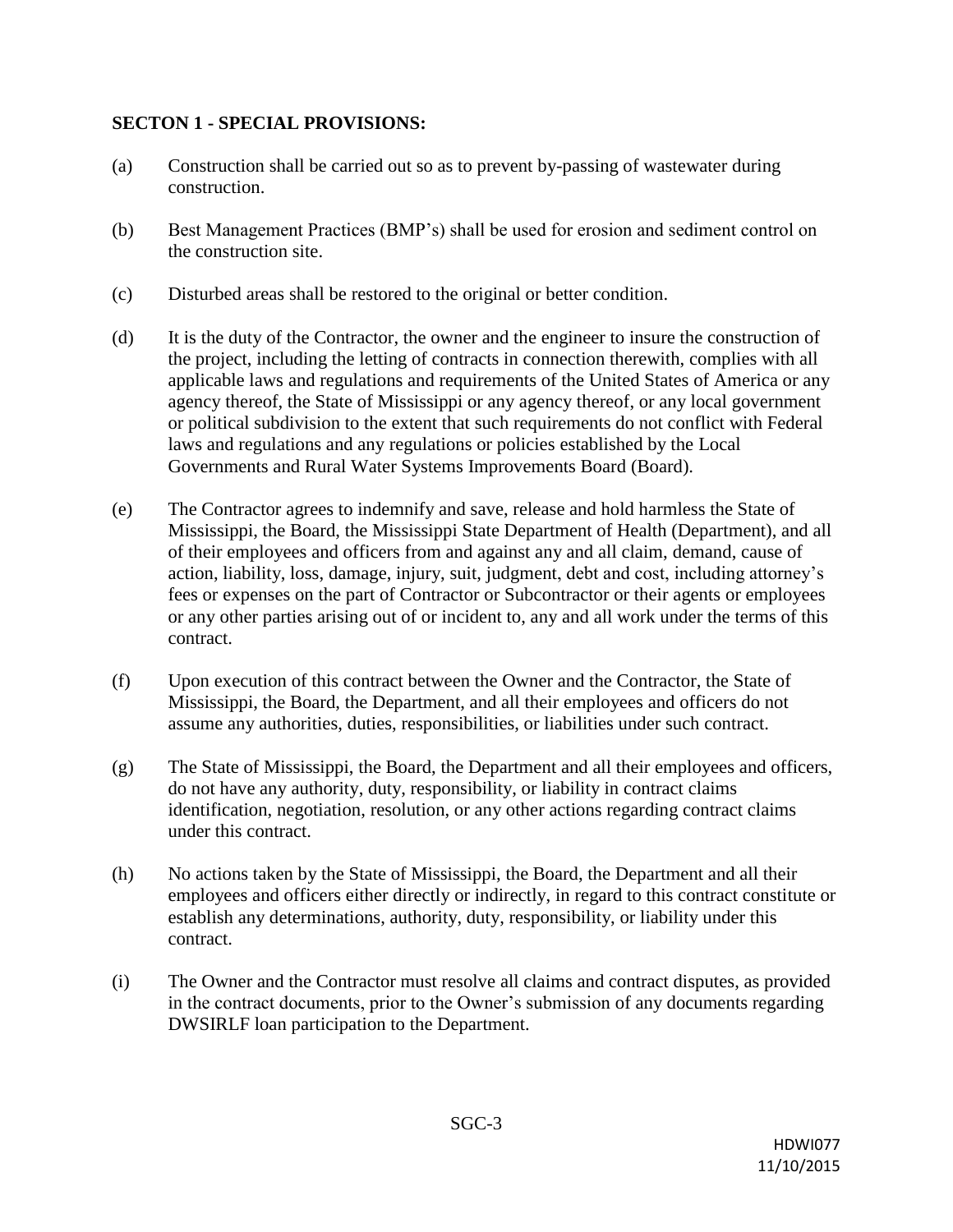### **SECTON 1 - SPECIAL PROVISIONS:**

- (a) Construction shall be carried out so as to prevent by-passing of wastewater during construction.
- (b) Best Management Practices (BMP's) shall be used for erosion and sediment control on the construction site.
- (c) Disturbed areas shall be restored to the original or better condition.
- (d) It is the duty of the Contractor, the owner and the engineer to insure the construction of the project, including the letting of contracts in connection therewith, complies with all applicable laws and regulations and requirements of the United States of America or any agency thereof, the State of Mississippi or any agency thereof, or any local government or political subdivision to the extent that such requirements do not conflict with Federal laws and regulations and any regulations or policies established by the Local Governments and Rural Water Systems Improvements Board (Board).
- (e) The Contractor agrees to indemnify and save, release and hold harmless the State of Mississippi, the Board, the Mississippi State Department of Health (Department), and all of their employees and officers from and against any and all claim, demand, cause of action, liability, loss, damage, injury, suit, judgment, debt and cost, including attorney's fees or expenses on the part of Contractor or Subcontractor or their agents or employees or any other parties arising out of or incident to, any and all work under the terms of this contract.
- (f) Upon execution of this contract between the Owner and the Contractor, the State of Mississippi, the Board, the Department, and all their employees and officers do not assume any authorities, duties, responsibilities, or liabilities under such contract.
- (g) The State of Mississippi, the Board, the Department and all their employees and officers, do not have any authority, duty, responsibility, or liability in contract claims identification, negotiation, resolution, or any other actions regarding contract claims under this contract.
- (h) No actions taken by the State of Mississippi, the Board, the Department and all their employees and officers either directly or indirectly, in regard to this contract constitute or establish any determinations, authority, duty, responsibility, or liability under this contract.
- (i) The Owner and the Contractor must resolve all claims and contract disputes, as provided in the contract documents, prior to the Owner's submission of any documents regarding DWSIRLF loan participation to the Department.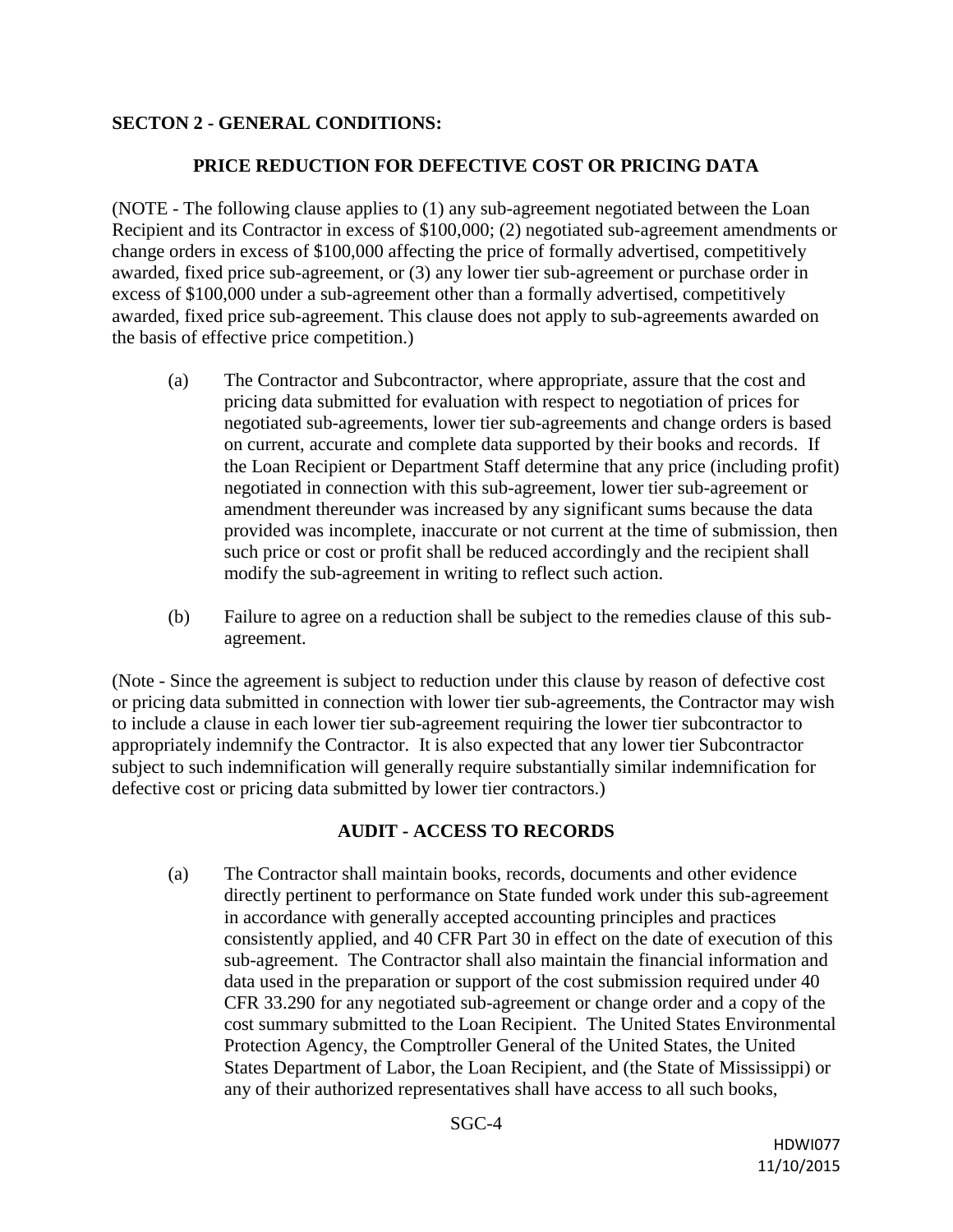## **SECTON 2 - GENERAL CONDITIONS:**

### **PRICE REDUCTION FOR DEFECTIVE COST OR PRICING DATA**

(NOTE - The following clause applies to (1) any sub-agreement negotiated between the Loan Recipient and its Contractor in excess of \$100,000; (2) negotiated sub-agreement amendments or change orders in excess of \$100,000 affecting the price of formally advertised, competitively awarded, fixed price sub-agreement, or (3) any lower tier sub-agreement or purchase order in excess of \$100,000 under a sub-agreement other than a formally advertised, competitively awarded, fixed price sub-agreement. This clause does not apply to sub-agreements awarded on the basis of effective price competition.)

- (a) The Contractor and Subcontractor, where appropriate, assure that the cost and pricing data submitted for evaluation with respect to negotiation of prices for negotiated sub-agreements, lower tier sub-agreements and change orders is based on current, accurate and complete data supported by their books and records. If the Loan Recipient or Department Staff determine that any price (including profit) negotiated in connection with this sub-agreement, lower tier sub-agreement or amendment thereunder was increased by any significant sums because the data provided was incomplete, inaccurate or not current at the time of submission, then such price or cost or profit shall be reduced accordingly and the recipient shall modify the sub-agreement in writing to reflect such action.
- (b) Failure to agree on a reduction shall be subject to the remedies clause of this subagreement.

(Note - Since the agreement is subject to reduction under this clause by reason of defective cost or pricing data submitted in connection with lower tier sub-agreements, the Contractor may wish to include a clause in each lower tier sub-agreement requiring the lower tier subcontractor to appropriately indemnify the Contractor. It is also expected that any lower tier Subcontractor subject to such indemnification will generally require substantially similar indemnification for defective cost or pricing data submitted by lower tier contractors.)

### **AUDIT - ACCESS TO RECORDS**

(a) The Contractor shall maintain books, records, documents and other evidence directly pertinent to performance on State funded work under this sub-agreement in accordance with generally accepted accounting principles and practices consistently applied, and 40 CFR Part 30 in effect on the date of execution of this sub-agreement. The Contractor shall also maintain the financial information and data used in the preparation or support of the cost submission required under 40 CFR 33.290 for any negotiated sub-agreement or change order and a copy of the cost summary submitted to the Loan Recipient. The United States Environmental Protection Agency, the Comptroller General of the United States, the United States Department of Labor, the Loan Recipient, and (the State of Mississippi) or any of their authorized representatives shall have access to all such books,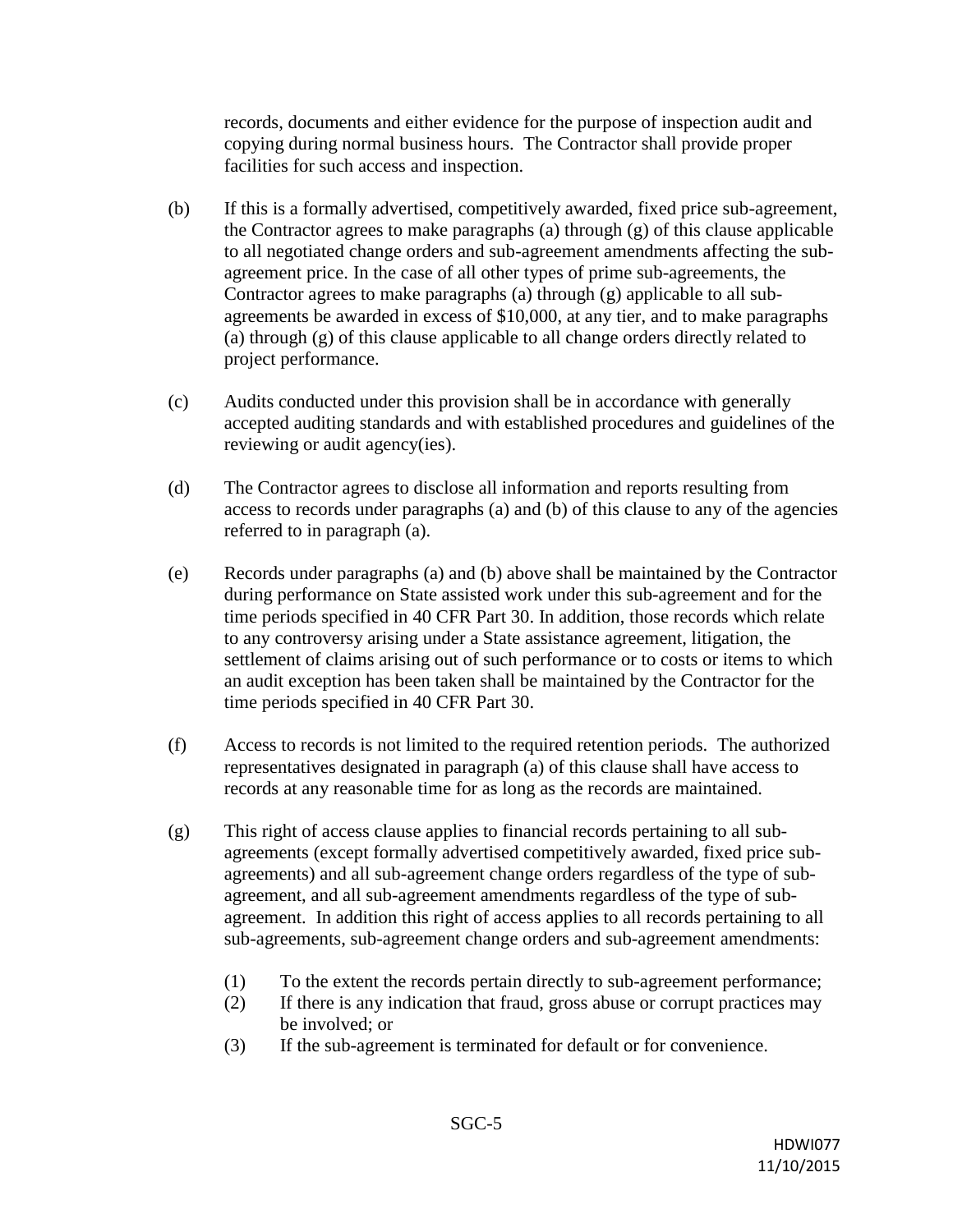records, documents and either evidence for the purpose of inspection audit and copying during normal business hours. The Contractor shall provide proper facilities for such access and inspection.

- (b) If this is a formally advertised, competitively awarded, fixed price sub-agreement, the Contractor agrees to make paragraphs (a) through (g) of this clause applicable to all negotiated change orders and sub-agreement amendments affecting the subagreement price. In the case of all other types of prime sub-agreements, the Contractor agrees to make paragraphs (a) through (g) applicable to all subagreements be awarded in excess of \$10,000, at any tier, and to make paragraphs (a) through (g) of this clause applicable to all change orders directly related to project performance.
- (c) Audits conducted under this provision shall be in accordance with generally accepted auditing standards and with established procedures and guidelines of the reviewing or audit agency(ies).
- (d) The Contractor agrees to disclose all information and reports resulting from access to records under paragraphs (a) and (b) of this clause to any of the agencies referred to in paragraph (a).
- (e) Records under paragraphs (a) and (b) above shall be maintained by the Contractor during performance on State assisted work under this sub-agreement and for the time periods specified in 40 CFR Part 30. In addition, those records which relate to any controversy arising under a State assistance agreement, litigation, the settlement of claims arising out of such performance or to costs or items to which an audit exception has been taken shall be maintained by the Contractor for the time periods specified in 40 CFR Part 30.
- (f) Access to records is not limited to the required retention periods. The authorized representatives designated in paragraph (a) of this clause shall have access to records at any reasonable time for as long as the records are maintained.
- (g) This right of access clause applies to financial records pertaining to all subagreements (except formally advertised competitively awarded, fixed price subagreements) and all sub-agreement change orders regardless of the type of subagreement, and all sub-agreement amendments regardless of the type of subagreement. In addition this right of access applies to all records pertaining to all sub-agreements, sub-agreement change orders and sub-agreement amendments:
	- (1) To the extent the records pertain directly to sub-agreement performance;
	- (2) If there is any indication that fraud, gross abuse or corrupt practices may be involved; or
	- (3) If the sub-agreement is terminated for default or for convenience.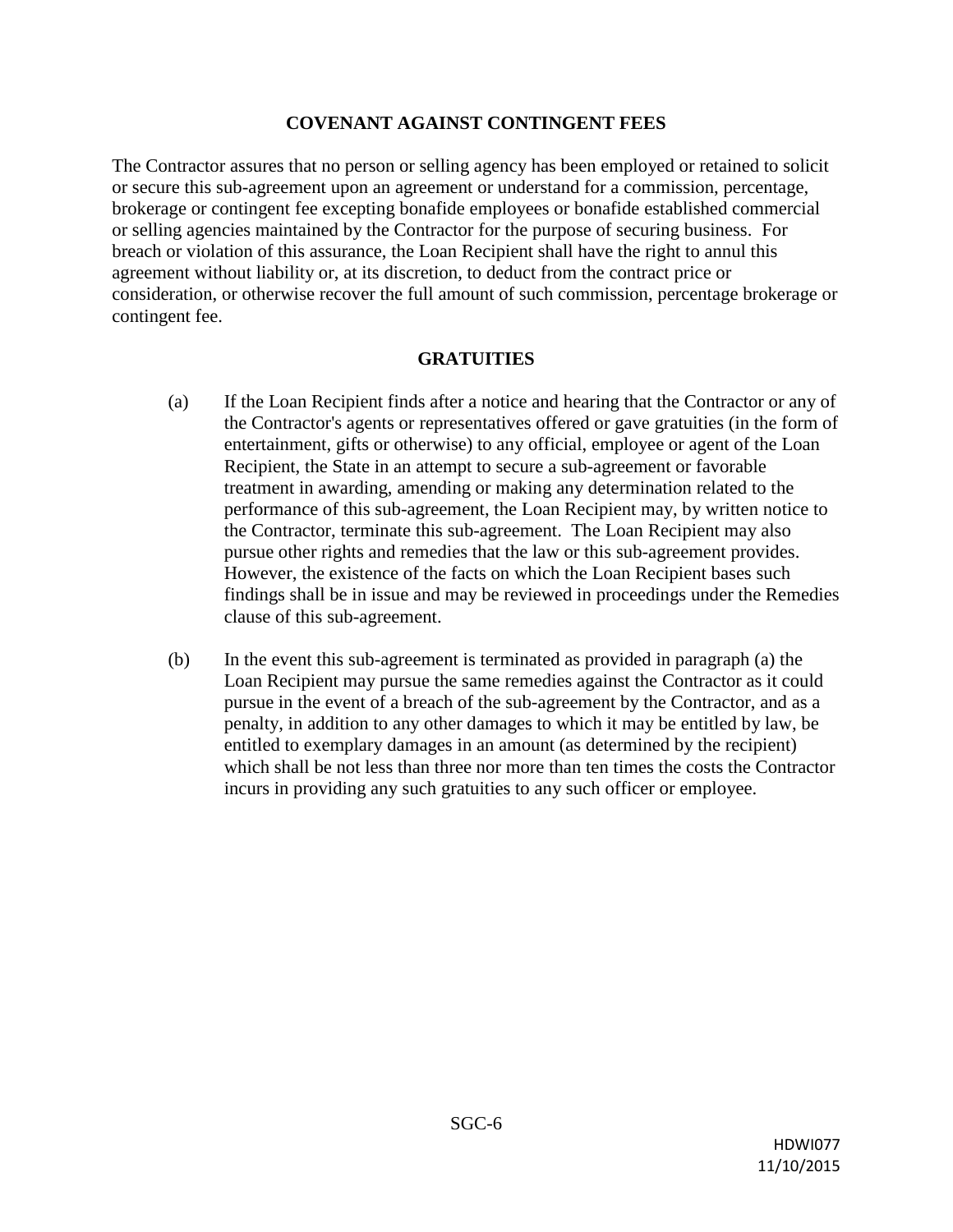#### **COVENANT AGAINST CONTINGENT FEES**

The Contractor assures that no person or selling agency has been employed or retained to solicit or secure this sub-agreement upon an agreement or understand for a commission, percentage, brokerage or contingent fee excepting bonafide employees or bonafide established commercial or selling agencies maintained by the Contractor for the purpose of securing business. For breach or violation of this assurance, the Loan Recipient shall have the right to annul this agreement without liability or, at its discretion, to deduct from the contract price or consideration, or otherwise recover the full amount of such commission, percentage brokerage or contingent fee.

### **GRATUITIES**

- (a) If the Loan Recipient finds after a notice and hearing that the Contractor or any of the Contractor's agents or representatives offered or gave gratuities (in the form of entertainment, gifts or otherwise) to any official, employee or agent of the Loan Recipient, the State in an attempt to secure a sub-agreement or favorable treatment in awarding, amending or making any determination related to the performance of this sub-agreement, the Loan Recipient may, by written notice to the Contractor, terminate this sub-agreement. The Loan Recipient may also pursue other rights and remedies that the law or this sub-agreement provides. However, the existence of the facts on which the Loan Recipient bases such findings shall be in issue and may be reviewed in proceedings under the Remedies clause of this sub-agreement.
- (b) In the event this sub-agreement is terminated as provided in paragraph (a) the Loan Recipient may pursue the same remedies against the Contractor as it could pursue in the event of a breach of the sub-agreement by the Contractor, and as a penalty, in addition to any other damages to which it may be entitled by law, be entitled to exemplary damages in an amount (as determined by the recipient) which shall be not less than three nor more than ten times the costs the Contractor incurs in providing any such gratuities to any such officer or employee.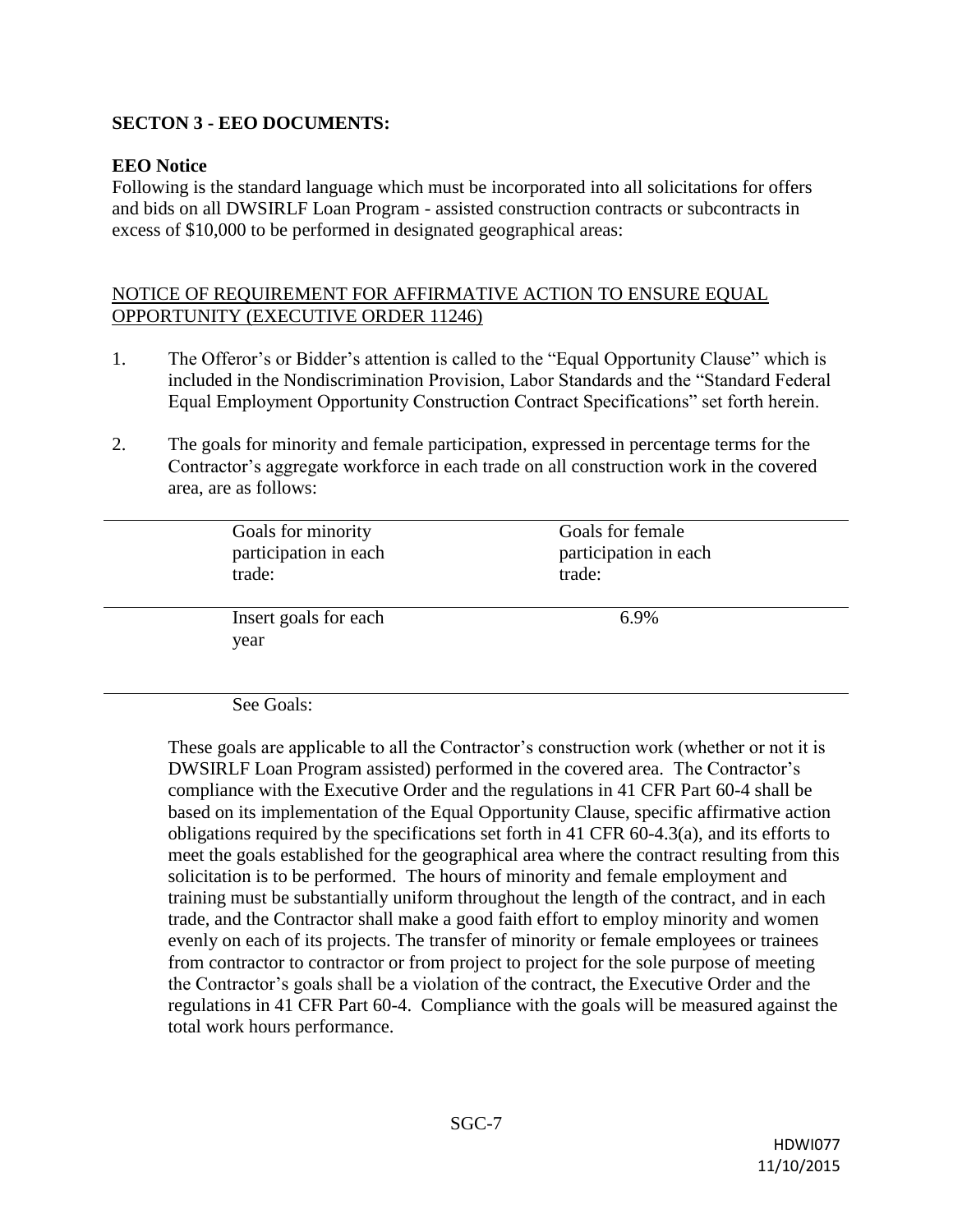## **SECTON 3 - EEO DOCUMENTS:**

### **EEO Notice**

Following is the standard language which must be incorporated into all solicitations for offers and bids on all DWSIRLF Loan Program - assisted construction contracts or subcontracts in excess of \$10,000 to be performed in designated geographical areas:

### NOTICE OF REQUIREMENT FOR AFFIRMATIVE ACTION TO ENSURE EQUAL OPPORTUNITY (EXECUTIVE ORDER 11246)

- 1. The Offeror's or Bidder's attention is called to the "Equal Opportunity Clause" which is included in the Nondiscrimination Provision, Labor Standards and the "Standard Federal Equal Employment Opportunity Construction Contract Specifications" set forth herein.
- 2. The goals for minority and female participation, expressed in percentage terms for the Contractor's aggregate workforce in each trade on all construction work in the covered area, are as follows:

| Goals for minority            | Goals for female      |
|-------------------------------|-----------------------|
| participation in each         | participation in each |
| trade:                        | trade:                |
| Insert goals for each<br>year | 6.9%                  |

See Goals:

These goals are applicable to all the Contractor's construction work (whether or not it is DWSIRLF Loan Program assisted) performed in the covered area. The Contractor's compliance with the Executive Order and the regulations in 41 CFR Part 60-4 shall be based on its implementation of the Equal Opportunity Clause, specific affirmative action obligations required by the specifications set forth in 41 CFR 60-4.3(a), and its efforts to meet the goals established for the geographical area where the contract resulting from this solicitation is to be performed. The hours of minority and female employment and training must be substantially uniform throughout the length of the contract, and in each trade, and the Contractor shall make a good faith effort to employ minority and women evenly on each of its projects. The transfer of minority or female employees or trainees from contractor to contractor or from project to project for the sole purpose of meeting the Contractor's goals shall be a violation of the contract, the Executive Order and the regulations in 41 CFR Part 60-4. Compliance with the goals will be measured against the total work hours performance.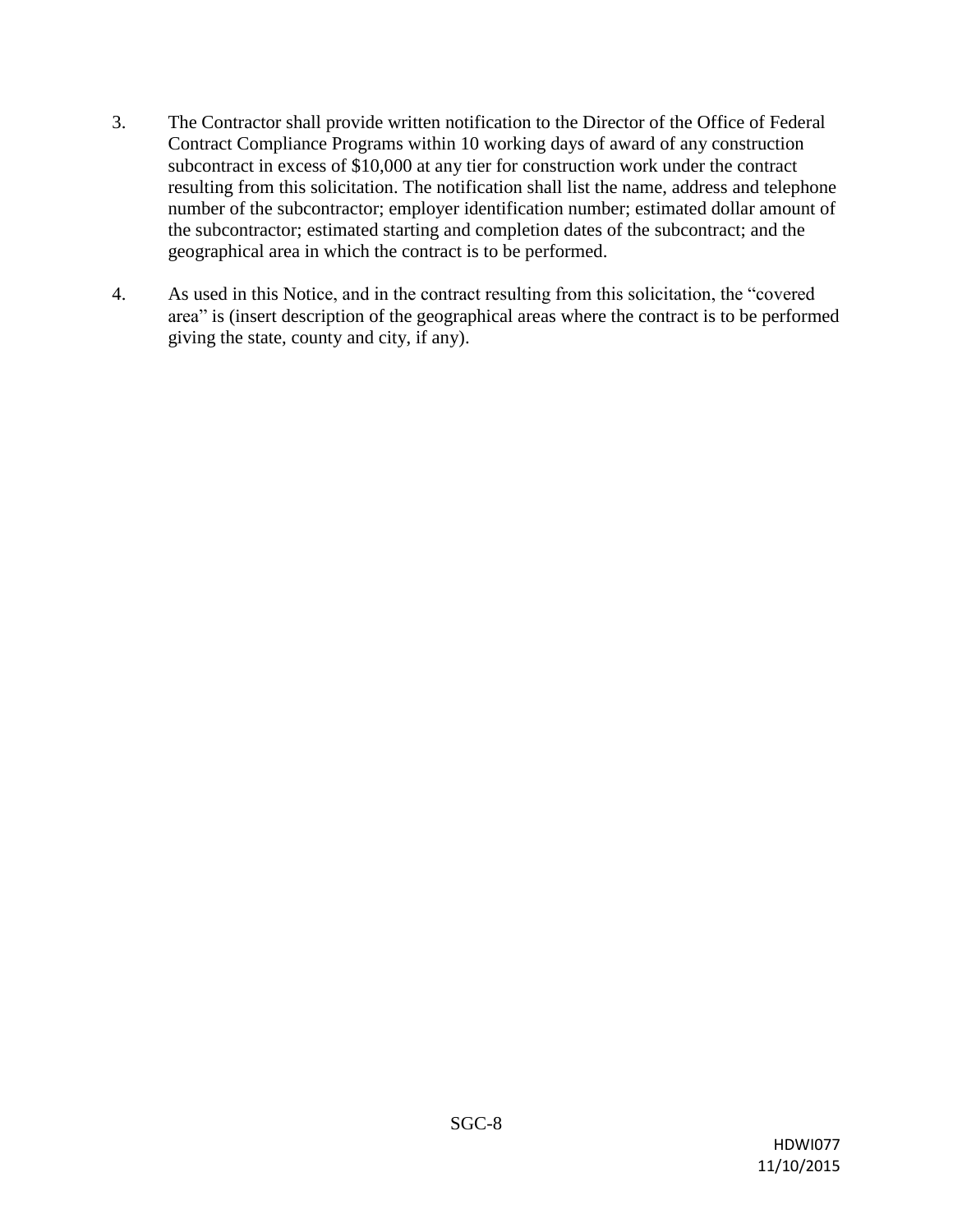- 3. The Contractor shall provide written notification to the Director of the Office of Federal Contract Compliance Programs within 10 working days of award of any construction subcontract in excess of \$10,000 at any tier for construction work under the contract resulting from this solicitation. The notification shall list the name, address and telephone number of the subcontractor; employer identification number; estimated dollar amount of the subcontractor; estimated starting and completion dates of the subcontract; and the geographical area in which the contract is to be performed.
- 4. As used in this Notice, and in the contract resulting from this solicitation, the "covered area" is (insert description of the geographical areas where the contract is to be performed giving the state, county and city, if any).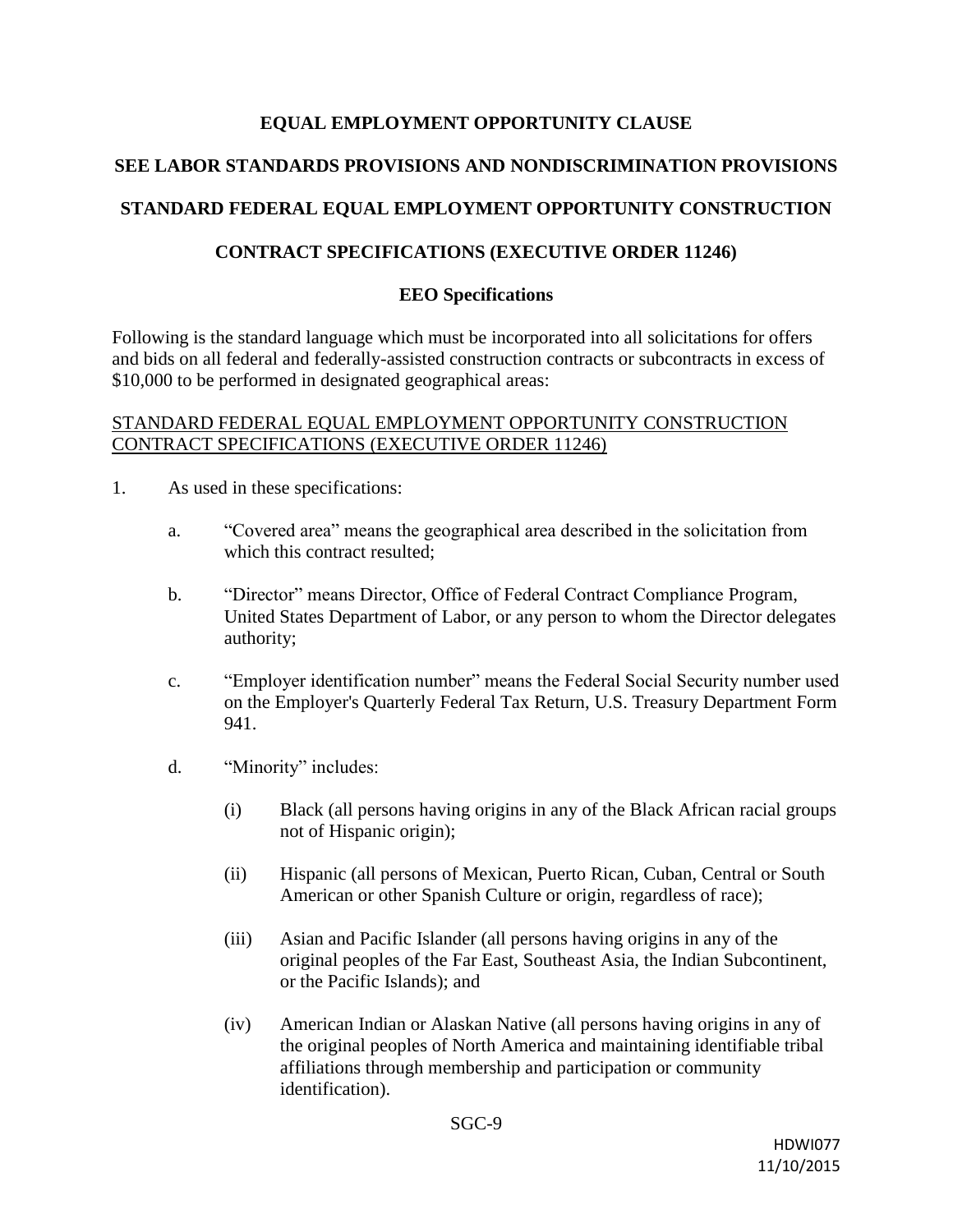## **EQUAL EMPLOYMENT OPPORTUNITY CLAUSE**

## **SEE LABOR STANDARDS PROVISIONS AND NONDISCRIMINATION PROVISIONS**

# **STANDARD FEDERAL EQUAL EMPLOYMENT OPPORTUNITY CONSTRUCTION**

## **CONTRACT SPECIFICATIONS (EXECUTIVE ORDER 11246)**

## **EEO Specifications**

Following is the standard language which must be incorporated into all solicitations for offers and bids on all federal and federally-assisted construction contracts or subcontracts in excess of \$10,000 to be performed in designated geographical areas:

### STANDARD FEDERAL EQUAL EMPLOYMENT OPPORTUNITY CONSTRUCTION CONTRACT SPECIFICATIONS (EXECUTIVE ORDER 11246)

- 1. As used in these specifications:
	- a. "Covered area" means the geographical area described in the solicitation from which this contract resulted:
	- b. "Director" means Director, Office of Federal Contract Compliance Program, United States Department of Labor, or any person to whom the Director delegates authority;
	- c. "Employer identification number" means the Federal Social Security number used on the Employer's Quarterly Federal Tax Return, U.S. Treasury Department Form 941.
	- d. "Minority" includes:
		- (i) Black (all persons having origins in any of the Black African racial groups not of Hispanic origin);
		- (ii) Hispanic (all persons of Mexican, Puerto Rican, Cuban, Central or South American or other Spanish Culture or origin, regardless of race);
		- (iii) Asian and Pacific Islander (all persons having origins in any of the original peoples of the Far East, Southeast Asia, the Indian Subcontinent, or the Pacific Islands); and
		- (iv) American Indian or Alaskan Native (all persons having origins in any of the original peoples of North America and maintaining identifiable tribal affiliations through membership and participation or community identification).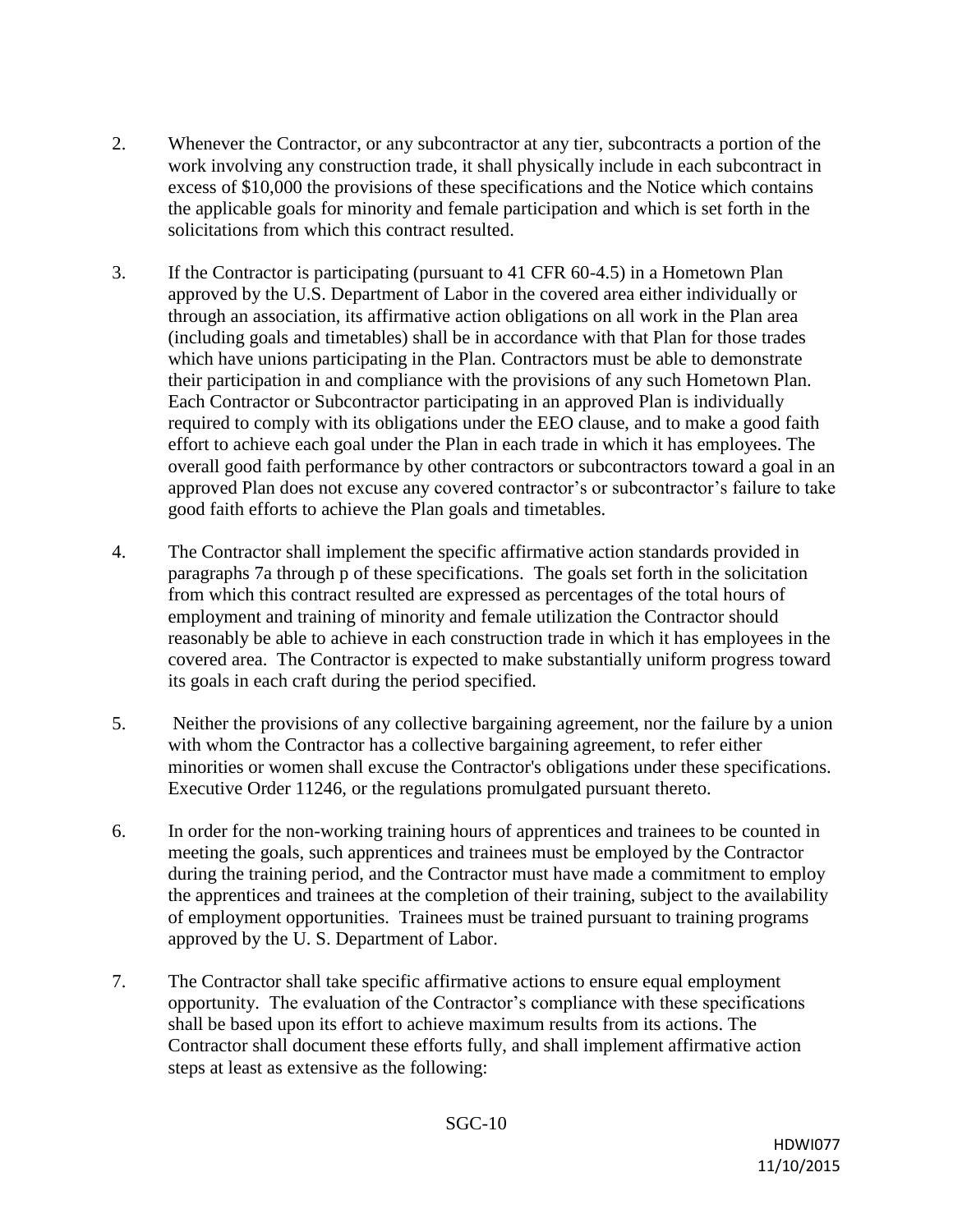- 2. Whenever the Contractor, or any subcontractor at any tier, subcontracts a portion of the work involving any construction trade, it shall physically include in each subcontract in excess of \$10,000 the provisions of these specifications and the Notice which contains the applicable goals for minority and female participation and which is set forth in the solicitations from which this contract resulted.
- 3. If the Contractor is participating (pursuant to 41 CFR 60-4.5) in a Hometown Plan approved by the U.S. Department of Labor in the covered area either individually or through an association, its affirmative action obligations on all work in the Plan area (including goals and timetables) shall be in accordance with that Plan for those trades which have unions participating in the Plan. Contractors must be able to demonstrate their participation in and compliance with the provisions of any such Hometown Plan. Each Contractor or Subcontractor participating in an approved Plan is individually required to comply with its obligations under the EEO clause, and to make a good faith effort to achieve each goal under the Plan in each trade in which it has employees. The overall good faith performance by other contractors or subcontractors toward a goal in an approved Plan does not excuse any covered contractor's or subcontractor's failure to take good faith efforts to achieve the Plan goals and timetables.
- 4. The Contractor shall implement the specific affirmative action standards provided in paragraphs 7a through p of these specifications. The goals set forth in the solicitation from which this contract resulted are expressed as percentages of the total hours of employment and training of minority and female utilization the Contractor should reasonably be able to achieve in each construction trade in which it has employees in the covered area. The Contractor is expected to make substantially uniform progress toward its goals in each craft during the period specified.
- 5. Neither the provisions of any collective bargaining agreement, nor the failure by a union with whom the Contractor has a collective bargaining agreement, to refer either minorities or women shall excuse the Contractor's obligations under these specifications. Executive Order 11246, or the regulations promulgated pursuant thereto.
- 6. In order for the non-working training hours of apprentices and trainees to be counted in meeting the goals, such apprentices and trainees must be employed by the Contractor during the training period, and the Contractor must have made a commitment to employ the apprentices and trainees at the completion of their training, subject to the availability of employment opportunities. Trainees must be trained pursuant to training programs approved by the U. S. Department of Labor.
- 7. The Contractor shall take specific affirmative actions to ensure equal employment opportunity. The evaluation of the Contractor's compliance with these specifications shall be based upon its effort to achieve maximum results from its actions. The Contractor shall document these efforts fully, and shall implement affirmative action steps at least as extensive as the following: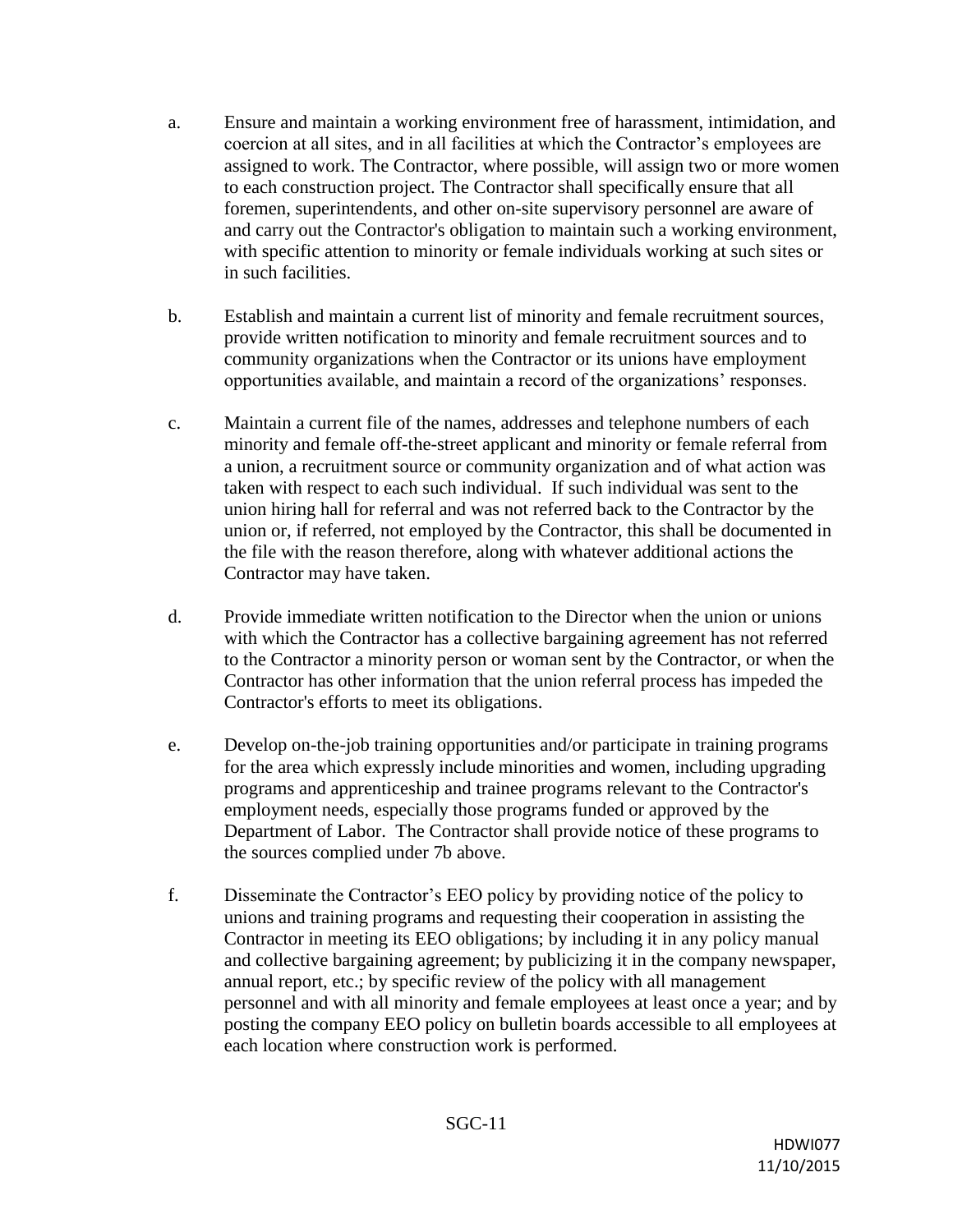- a. Ensure and maintain a working environment free of harassment, intimidation, and coercion at all sites, and in all facilities at which the Contractor's employees are assigned to work. The Contractor, where possible, will assign two or more women to each construction project. The Contractor shall specifically ensure that all foremen, superintendents, and other on-site supervisory personnel are aware of and carry out the Contractor's obligation to maintain such a working environment, with specific attention to minority or female individuals working at such sites or in such facilities.
- b. Establish and maintain a current list of minority and female recruitment sources, provide written notification to minority and female recruitment sources and to community organizations when the Contractor or its unions have employment opportunities available, and maintain a record of the organizations' responses.
- c. Maintain a current file of the names, addresses and telephone numbers of each minority and female off-the-street applicant and minority or female referral from a union, a recruitment source or community organization and of what action was taken with respect to each such individual. If such individual was sent to the union hiring hall for referral and was not referred back to the Contractor by the union or, if referred, not employed by the Contractor, this shall be documented in the file with the reason therefore, along with whatever additional actions the Contractor may have taken.
- d. Provide immediate written notification to the Director when the union or unions with which the Contractor has a collective bargaining agreement has not referred to the Contractor a minority person or woman sent by the Contractor, or when the Contractor has other information that the union referral process has impeded the Contractor's efforts to meet its obligations.
- e. Develop on-the-job training opportunities and/or participate in training programs for the area which expressly include minorities and women, including upgrading programs and apprenticeship and trainee programs relevant to the Contractor's employment needs, especially those programs funded or approved by the Department of Labor. The Contractor shall provide notice of these programs to the sources complied under 7b above.
- f. Disseminate the Contractor's EEO policy by providing notice of the policy to unions and training programs and requesting their cooperation in assisting the Contractor in meeting its EEO obligations; by including it in any policy manual and collective bargaining agreement; by publicizing it in the company newspaper, annual report, etc.; by specific review of the policy with all management personnel and with all minority and female employees at least once a year; and by posting the company EEO policy on bulletin boards accessible to all employees at each location where construction work is performed.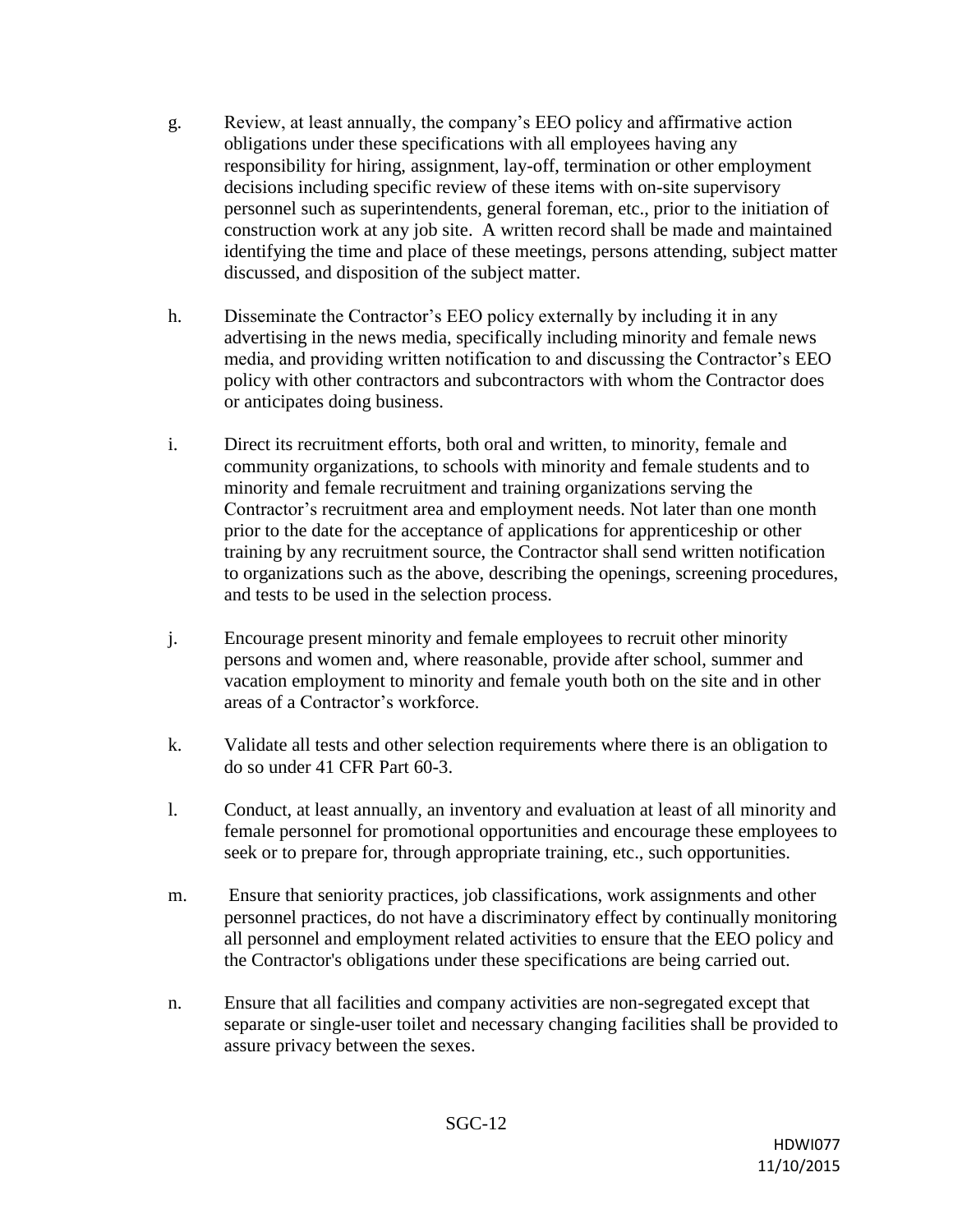- g. Review, at least annually, the company's EEO policy and affirmative action obligations under these specifications with all employees having any responsibility for hiring, assignment, lay-off, termination or other employment decisions including specific review of these items with on-site supervisory personnel such as superintendents, general foreman, etc., prior to the initiation of construction work at any job site. A written record shall be made and maintained identifying the time and place of these meetings, persons attending, subject matter discussed, and disposition of the subject matter.
- h. Disseminate the Contractor's EEO policy externally by including it in any advertising in the news media, specifically including minority and female news media, and providing written notification to and discussing the Contractor's EEO policy with other contractors and subcontractors with whom the Contractor does or anticipates doing business.
- i. Direct its recruitment efforts, both oral and written, to minority, female and community organizations, to schools with minority and female students and to minority and female recruitment and training organizations serving the Contractor's recruitment area and employment needs. Not later than one month prior to the date for the acceptance of applications for apprenticeship or other training by any recruitment source, the Contractor shall send written notification to organizations such as the above, describing the openings, screening procedures, and tests to be used in the selection process.
- j. Encourage present minority and female employees to recruit other minority persons and women and, where reasonable, provide after school, summer and vacation employment to minority and female youth both on the site and in other areas of a Contractor's workforce.
- k. Validate all tests and other selection requirements where there is an obligation to do so under 41 CFR Part 60-3.
- l. Conduct, at least annually, an inventory and evaluation at least of all minority and female personnel for promotional opportunities and encourage these employees to seek or to prepare for, through appropriate training, etc., such opportunities.
- m. Ensure that seniority practices, job classifications, work assignments and other personnel practices, do not have a discriminatory effect by continually monitoring all personnel and employment related activities to ensure that the EEO policy and the Contractor's obligations under these specifications are being carried out.
- n. Ensure that all facilities and company activities are non-segregated except that separate or single-user toilet and necessary changing facilities shall be provided to assure privacy between the sexes.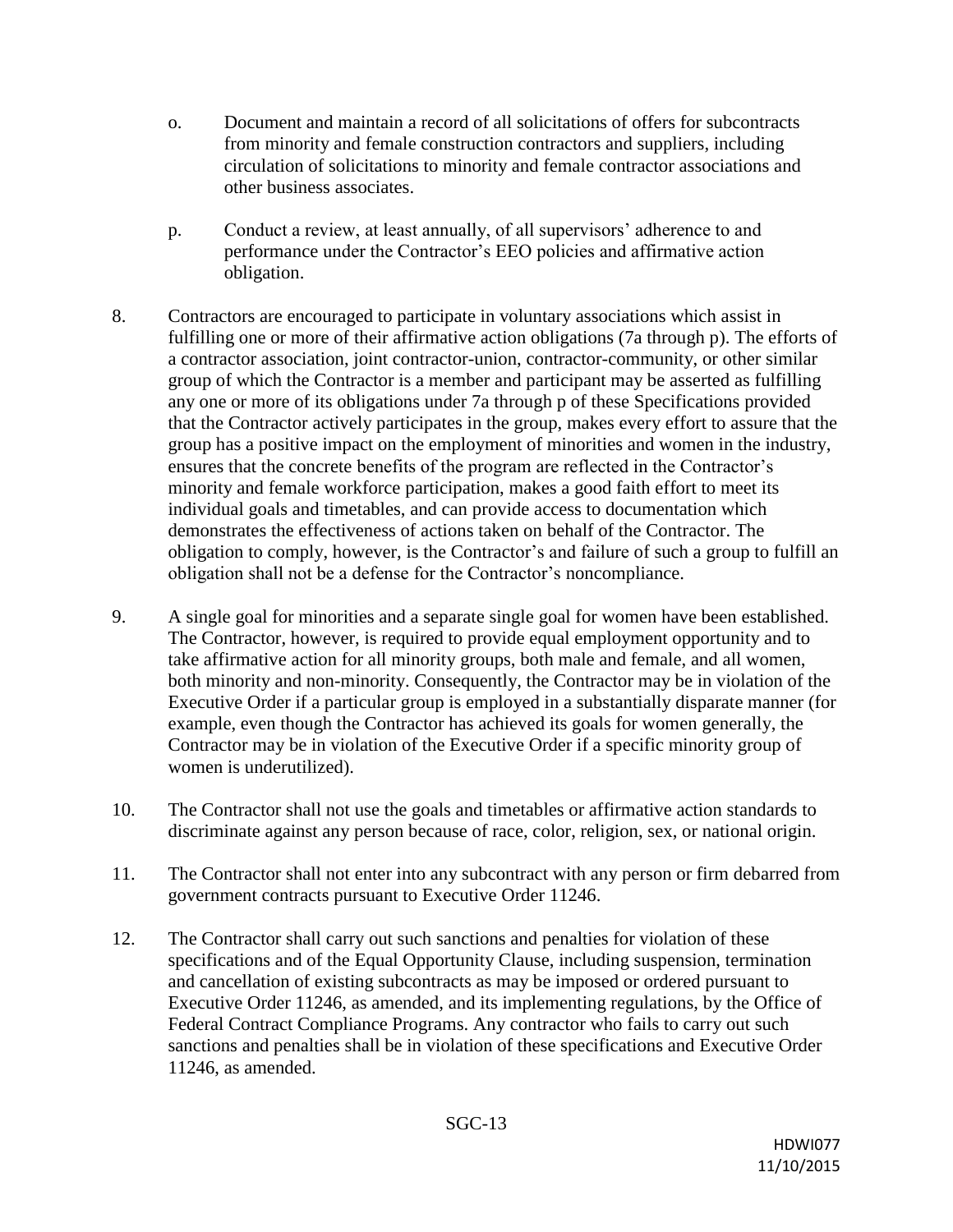- o. Document and maintain a record of all solicitations of offers for subcontracts from minority and female construction contractors and suppliers, including circulation of solicitations to minority and female contractor associations and other business associates.
- p. Conduct a review, at least annually, of all supervisors' adherence to and performance under the Contractor's EEO policies and affirmative action obligation.
- 8. Contractors are encouraged to participate in voluntary associations which assist in fulfilling one or more of their affirmative action obligations (7a through p). The efforts of a contractor association, joint contractor-union, contractor-community, or other similar group of which the Contractor is a member and participant may be asserted as fulfilling any one or more of its obligations under 7a through p of these Specifications provided that the Contractor actively participates in the group, makes every effort to assure that the group has a positive impact on the employment of minorities and women in the industry, ensures that the concrete benefits of the program are reflected in the Contractor's minority and female workforce participation, makes a good faith effort to meet its individual goals and timetables, and can provide access to documentation which demonstrates the effectiveness of actions taken on behalf of the Contractor. The obligation to comply, however, is the Contractor's and failure of such a group to fulfill an obligation shall not be a defense for the Contractor's noncompliance.
- 9. A single goal for minorities and a separate single goal for women have been established. The Contractor, however, is required to provide equal employment opportunity and to take affirmative action for all minority groups, both male and female, and all women, both minority and non-minority. Consequently, the Contractor may be in violation of the Executive Order if a particular group is employed in a substantially disparate manner (for example, even though the Contractor has achieved its goals for women generally, the Contractor may be in violation of the Executive Order if a specific minority group of women is underutilized).
- 10. The Contractor shall not use the goals and timetables or affirmative action standards to discriminate against any person because of race, color, religion, sex, or national origin.
- 11. The Contractor shall not enter into any subcontract with any person or firm debarred from government contracts pursuant to Executive Order 11246.
- 12. The Contractor shall carry out such sanctions and penalties for violation of these specifications and of the Equal Opportunity Clause, including suspension, termination and cancellation of existing subcontracts as may be imposed or ordered pursuant to Executive Order 11246, as amended, and its implementing regulations, by the Office of Federal Contract Compliance Programs. Any contractor who fails to carry out such sanctions and penalties shall be in violation of these specifications and Executive Order 11246, as amended.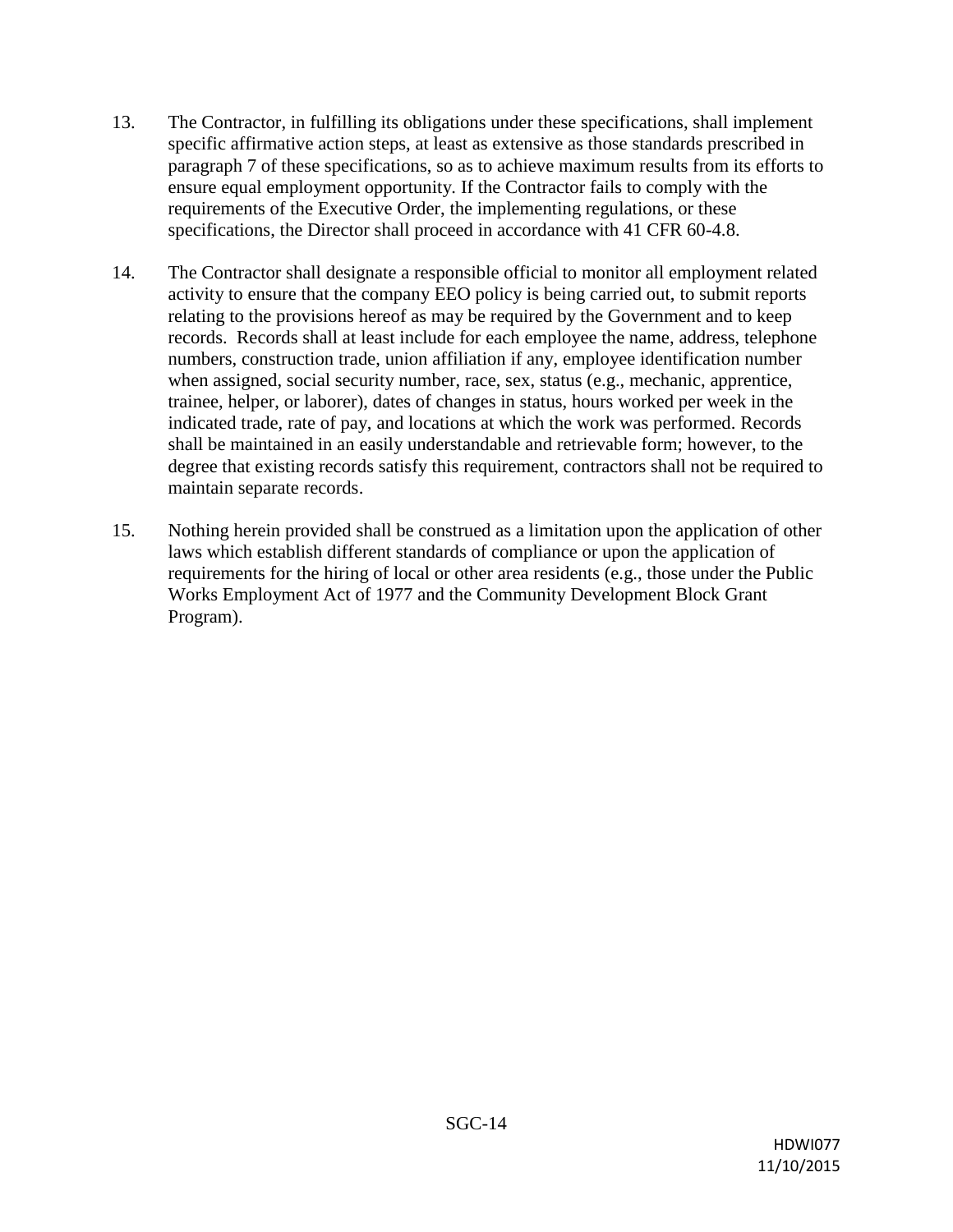- 13. The Contractor, in fulfilling its obligations under these specifications, shall implement specific affirmative action steps, at least as extensive as those standards prescribed in paragraph 7 of these specifications, so as to achieve maximum results from its efforts to ensure equal employment opportunity. If the Contractor fails to comply with the requirements of the Executive Order, the implementing regulations, or these specifications, the Director shall proceed in accordance with 41 CFR 60-4.8.
- 14. The Contractor shall designate a responsible official to monitor all employment related activity to ensure that the company EEO policy is being carried out, to submit reports relating to the provisions hereof as may be required by the Government and to keep records. Records shall at least include for each employee the name, address, telephone numbers, construction trade, union affiliation if any, employee identification number when assigned, social security number, race, sex, status (e.g., mechanic, apprentice, trainee, helper, or laborer), dates of changes in status, hours worked per week in the indicated trade, rate of pay, and locations at which the work was performed. Records shall be maintained in an easily understandable and retrievable form; however, to the degree that existing records satisfy this requirement, contractors shall not be required to maintain separate records.
- 15. Nothing herein provided shall be construed as a limitation upon the application of other laws which establish different standards of compliance or upon the application of requirements for the hiring of local or other area residents (e.g., those under the Public Works Employment Act of 1977 and the Community Development Block Grant Program).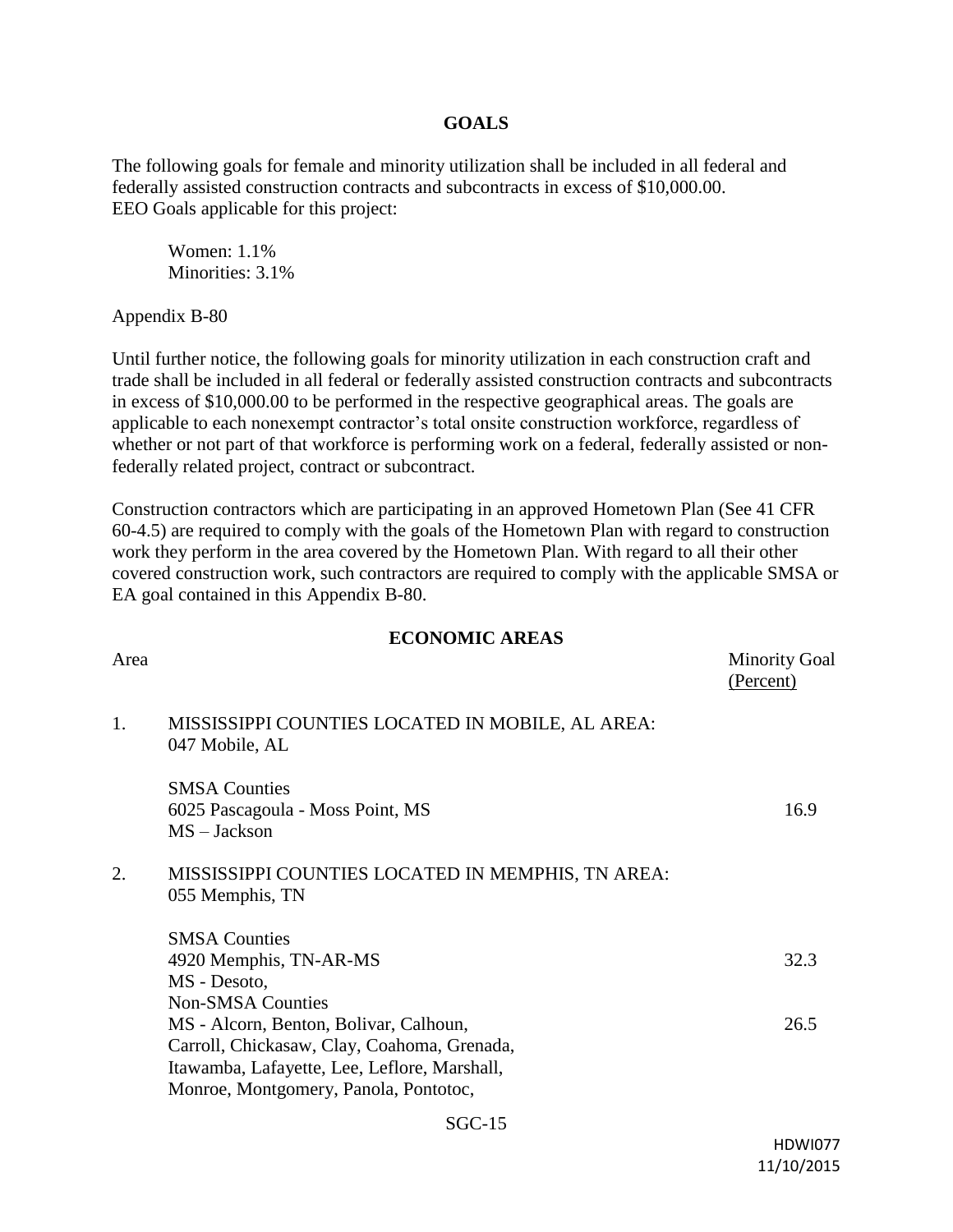#### **GOALS**

The following goals for female and minority utilization shall be included in all federal and federally assisted construction contracts and subcontracts in excess of \$10,000.00. EEO Goals applicable for this project:

Women: 1.1% Minorities: 3.1%

Appendix B-80

Until further notice, the following goals for minority utilization in each construction craft and trade shall be included in all federal or federally assisted construction contracts and subcontracts in excess of \$10,000.00 to be performed in the respective geographical areas. The goals are applicable to each nonexempt contractor's total onsite construction workforce, regardless of whether or not part of that workforce is performing work on a federal, federally assisted or nonfederally related project, contract or subcontract.

Construction contractors which are participating in an approved Hometown Plan (See 41 CFR 60-4.5) are required to comply with the goals of the Hometown Plan with regard to construction work they perform in the area covered by the Hometown Plan. With regard to all their other covered construction work, such contractors are required to comply with the applicable SMSA or EA goal contained in this Appendix B-80.

#### **ECONOMIC AREAS**

| Area |                                                                                                                                                                                                            | <b>Minority Goal</b><br>(Percent) |
|------|------------------------------------------------------------------------------------------------------------------------------------------------------------------------------------------------------------|-----------------------------------|
| 1.   | MISSISSIPPI COUNTIES LOCATED IN MOBILE, AL AREA:<br>047 Mobile, AL                                                                                                                                         |                                   |
|      | <b>SMSA Counties</b><br>6025 Pascagoula - Moss Point, MS<br>$MS - Jackson$                                                                                                                                 | 16.9                              |
| 2.   | MISSISSIPPI COUNTIES LOCATED IN MEMPHIS, TN AREA:<br>055 Memphis, TN                                                                                                                                       |                                   |
|      | <b>SMSA Counties</b><br>4920 Memphis, TN-AR-MS<br>MS - Desoto,                                                                                                                                             | 32.3                              |
|      | <b>Non-SMSA Counties</b><br>MS - Alcorn, Benton, Bolivar, Calhoun,<br>Carroll, Chickasaw, Clay, Coahoma, Grenada,<br>Itawamba, Lafayette, Lee, Leflore, Marshall,<br>Monroe, Montgomery, Panola, Pontotoc, | 26.5                              |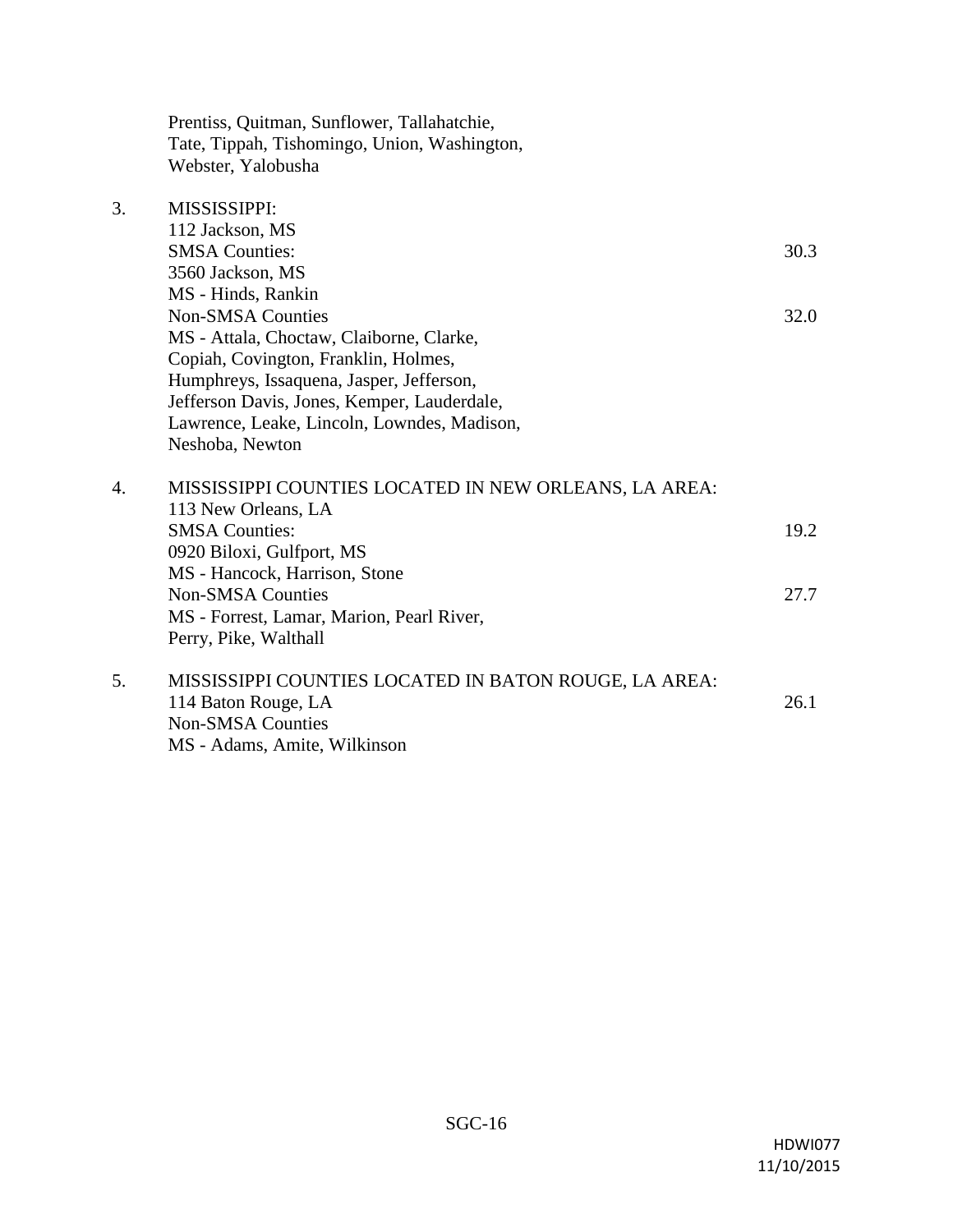Prentiss, Quitman, Sunflower, Tallahatchie, Tate, Tippah, Tishomingo, Union, Washington, Webster, Yalobusha

## 3. MISSISSIPPI:

| 112 Jackson, MS                             |      |
|---------------------------------------------|------|
| <b>SMSA</b> Counties:                       | 30.3 |
| 3560 Jackson, MS                            |      |
| MS - Hinds, Rankin                          |      |
| <b>Non-SMSA Counties</b>                    | 32.0 |
| MS - Attala, Choctaw, Claiborne, Clarke,    |      |
| Copiah, Covington, Franklin, Holmes,        |      |
| Humphreys, Issaquena, Jasper, Jefferson,    |      |
| Jefferson Davis, Jones, Kemper, Lauderdale, |      |
| Lawrence, Leake, Lincoln, Lowndes, Madison, |      |
| Neshoba, Newton                             |      |
|                                             |      |

| 4. | MISSISSIPPI COUNTIES LOCATED IN NEW ORLEANS, LA AREA: |      |  |
|----|-------------------------------------------------------|------|--|
|    | 113 New Orleans, LA                                   |      |  |
|    | <b>SMSA Counties:</b>                                 | 19.2 |  |
|    | 0920 Biloxi, Gulfport, MS                             |      |  |
|    | MS - Hancock, Harrison, Stone                         |      |  |
|    | <b>Non-SMSA Counties</b>                              | 27.7 |  |
|    | MS - Forrest, Lamar, Marion, Pearl River,             |      |  |
|    | Perry, Pike, Walthall                                 |      |  |
|    | MISSISSIPPI COUNTIES LOCATED IN BATON ROUGE. LA AREA: |      |  |

5. MISSISSIPPI COUNTIES LOCATED IN BATON ROUGE, 114 Baton Rouge, LA 26.1 Non-SMSA Counties MS - Adams, Amite, Wilkinson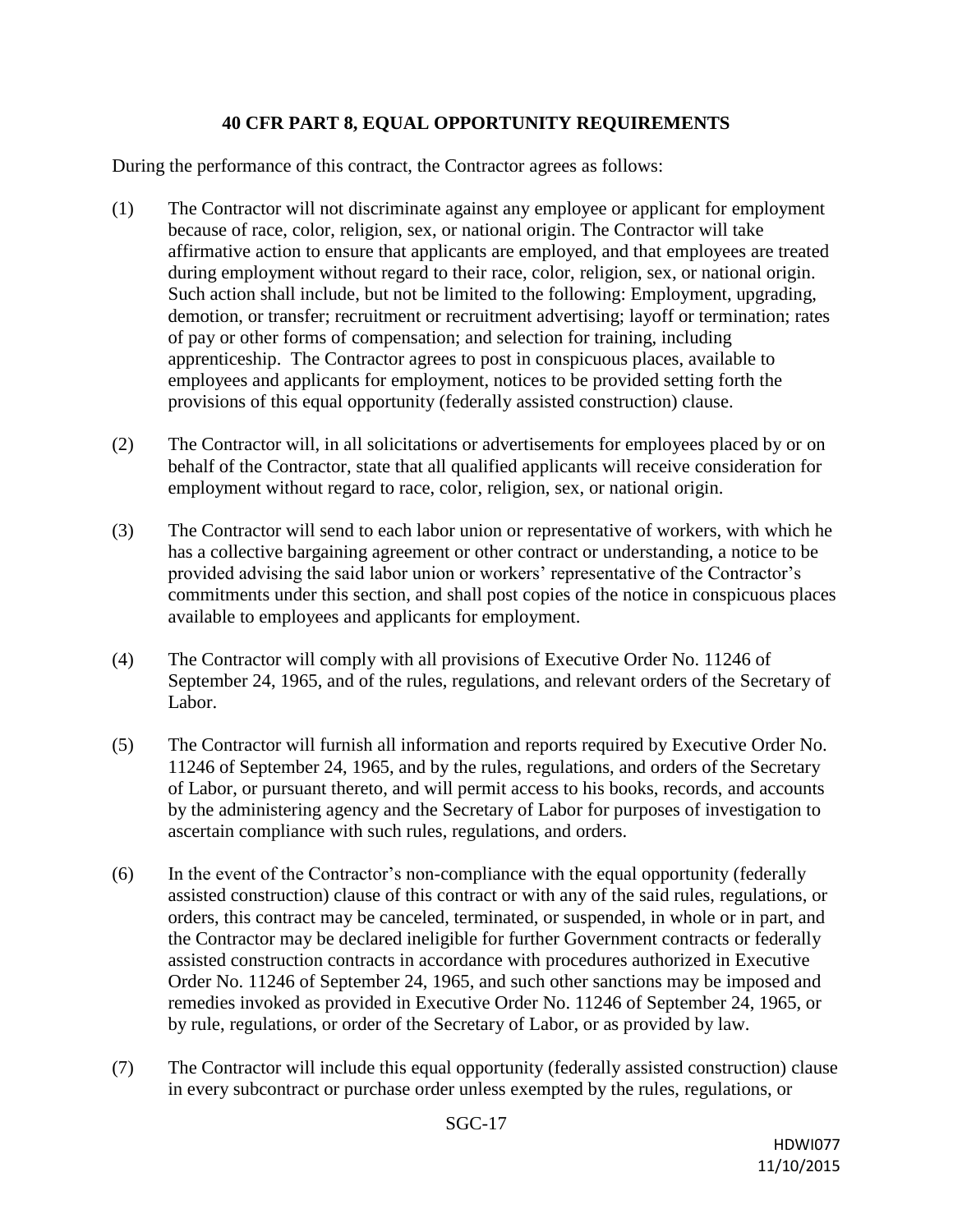### **40 CFR PART 8, EQUAL OPPORTUNITY REQUIREMENTS**

During the performance of this contract, the Contractor agrees as follows:

- (1) The Contractor will not discriminate against any employee or applicant for employment because of race, color, religion, sex, or national origin. The Contractor will take affirmative action to ensure that applicants are employed, and that employees are treated during employment without regard to their race, color, religion, sex, or national origin. Such action shall include, but not be limited to the following: Employment, upgrading, demotion, or transfer; recruitment or recruitment advertising; layoff or termination; rates of pay or other forms of compensation; and selection for training, including apprenticeship. The Contractor agrees to post in conspicuous places, available to employees and applicants for employment, notices to be provided setting forth the provisions of this equal opportunity (federally assisted construction) clause.
- (2) The Contractor will, in all solicitations or advertisements for employees placed by or on behalf of the Contractor, state that all qualified applicants will receive consideration for employment without regard to race, color, religion, sex, or national origin.
- (3) The Contractor will send to each labor union or representative of workers, with which he has a collective bargaining agreement or other contract or understanding, a notice to be provided advising the said labor union or workers' representative of the Contractor's commitments under this section, and shall post copies of the notice in conspicuous places available to employees and applicants for employment.
- (4) The Contractor will comply with all provisions of Executive Order No. 11246 of September 24, 1965, and of the rules, regulations, and relevant orders of the Secretary of Labor.
- (5) The Contractor will furnish all information and reports required by Executive Order No. 11246 of September 24, 1965, and by the rules, regulations, and orders of the Secretary of Labor, or pursuant thereto, and will permit access to his books, records, and accounts by the administering agency and the Secretary of Labor for purposes of investigation to ascertain compliance with such rules, regulations, and orders.
- (6) In the event of the Contractor's non-compliance with the equal opportunity (federally assisted construction) clause of this contract or with any of the said rules, regulations, or orders, this contract may be canceled, terminated, or suspended, in whole or in part, and the Contractor may be declared ineligible for further Government contracts or federally assisted construction contracts in accordance with procedures authorized in Executive Order No. 11246 of September 24, 1965, and such other sanctions may be imposed and remedies invoked as provided in Executive Order No. 11246 of September 24, 1965, or by rule, regulations, or order of the Secretary of Labor, or as provided by law.
- (7) The Contractor will include this equal opportunity (federally assisted construction) clause in every subcontract or purchase order unless exempted by the rules, regulations, or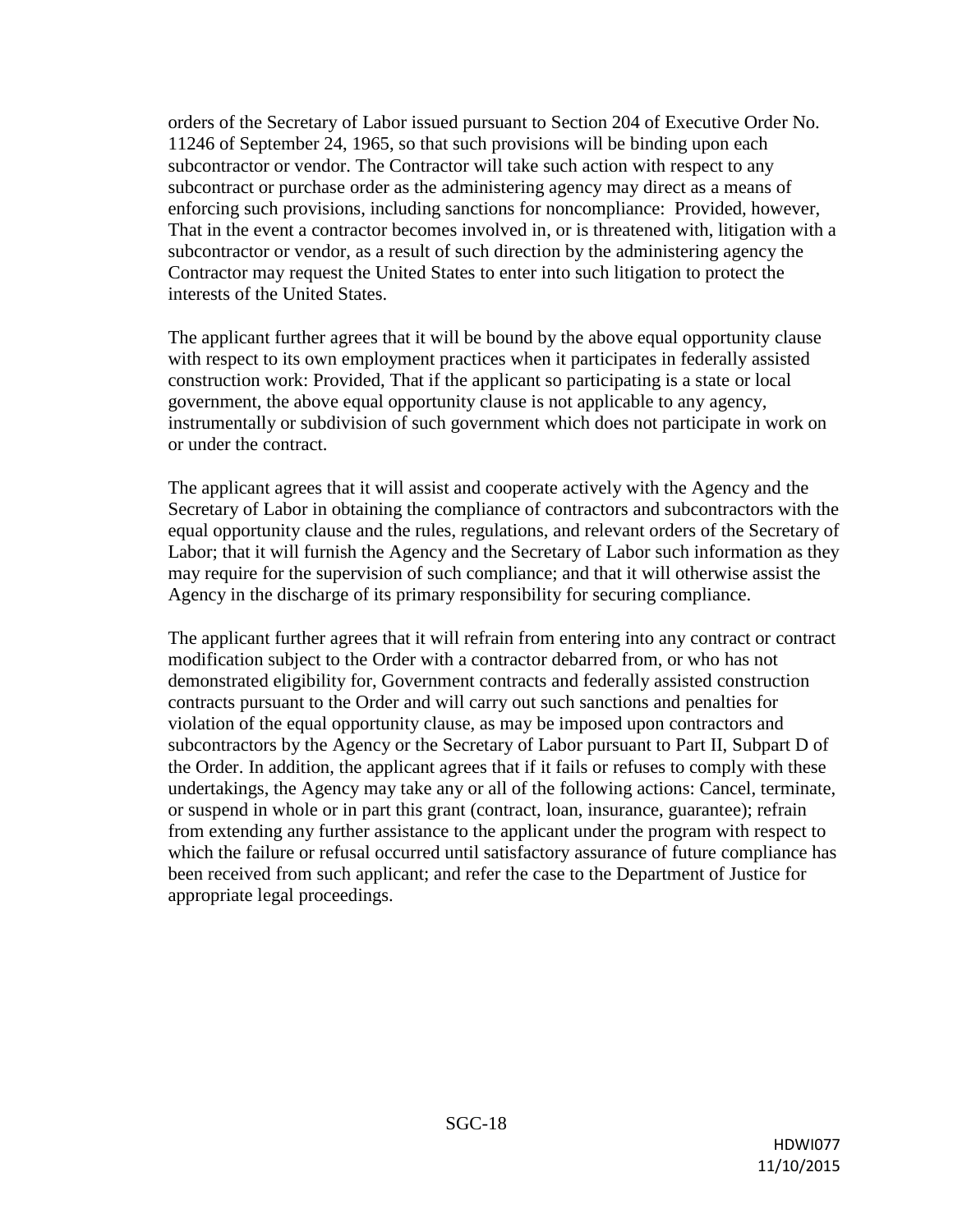orders of the Secretary of Labor issued pursuant to Section 204 of Executive Order No. 11246 of September 24, 1965, so that such provisions will be binding upon each subcontractor or vendor. The Contractor will take such action with respect to any subcontract or purchase order as the administering agency may direct as a means of enforcing such provisions, including sanctions for noncompliance: Provided, however, That in the event a contractor becomes involved in, or is threatened with, litigation with a subcontractor or vendor, as a result of such direction by the administering agency the Contractor may request the United States to enter into such litigation to protect the interests of the United States.

The applicant further agrees that it will be bound by the above equal opportunity clause with respect to its own employment practices when it participates in federally assisted construction work: Provided, That if the applicant so participating is a state or local government, the above equal opportunity clause is not applicable to any agency, instrumentally or subdivision of such government which does not participate in work on or under the contract.

The applicant agrees that it will assist and cooperate actively with the Agency and the Secretary of Labor in obtaining the compliance of contractors and subcontractors with the equal opportunity clause and the rules, regulations, and relevant orders of the Secretary of Labor; that it will furnish the Agency and the Secretary of Labor such information as they may require for the supervision of such compliance; and that it will otherwise assist the Agency in the discharge of its primary responsibility for securing compliance.

The applicant further agrees that it will refrain from entering into any contract or contract modification subject to the Order with a contractor debarred from, or who has not demonstrated eligibility for, Government contracts and federally assisted construction contracts pursuant to the Order and will carry out such sanctions and penalties for violation of the equal opportunity clause, as may be imposed upon contractors and subcontractors by the Agency or the Secretary of Labor pursuant to Part II, Subpart D of the Order. In addition, the applicant agrees that if it fails or refuses to comply with these undertakings, the Agency may take any or all of the following actions: Cancel, terminate, or suspend in whole or in part this grant (contract, loan, insurance, guarantee); refrain from extending any further assistance to the applicant under the program with respect to which the failure or refusal occurred until satisfactory assurance of future compliance has been received from such applicant; and refer the case to the Department of Justice for appropriate legal proceedings.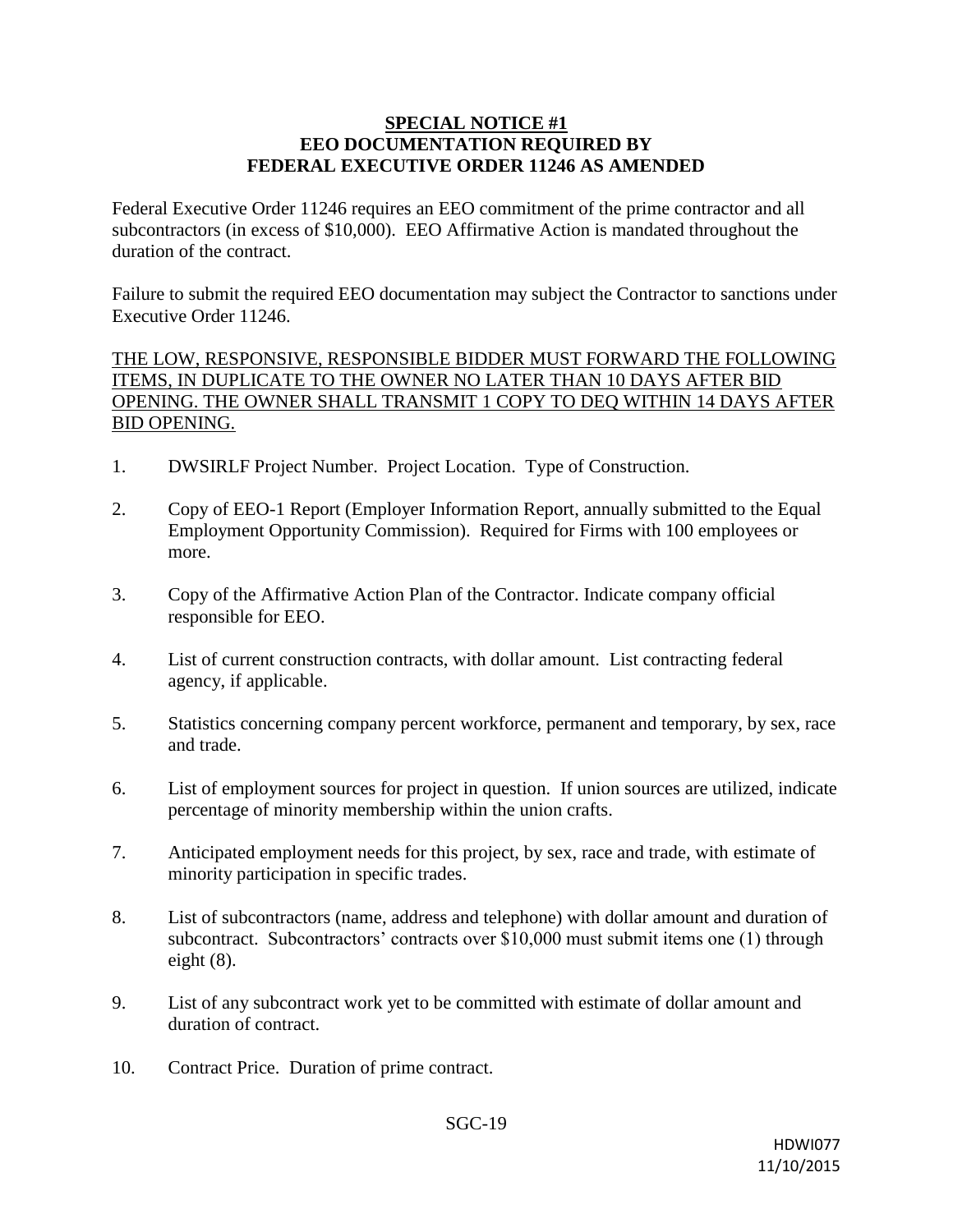#### **SPECIAL NOTICE #1 EEO DOCUMENTATION REQUIRED BY FEDERAL EXECUTIVE ORDER 11246 AS AMENDED**

Federal Executive Order 11246 requires an EEO commitment of the prime contractor and all subcontractors (in excess of \$10,000). EEO Affirmative Action is mandated throughout the duration of the contract.

Failure to submit the required EEO documentation may subject the Contractor to sanctions under Executive Order 11246.

THE LOW, RESPONSIVE, RESPONSIBLE BIDDER MUST FORWARD THE FOLLOWING ITEMS, IN DUPLICATE TO THE OWNER NO LATER THAN 10 DAYS AFTER BID OPENING. THE OWNER SHALL TRANSMIT 1 COPY TO DEQ WITHIN 14 DAYS AFTER BID OPENING.

- 1. DWSIRLF Project Number. Project Location. Type of Construction.
- 2. Copy of EEO-1 Report (Employer Information Report, annually submitted to the Equal Employment Opportunity Commission). Required for Firms with 100 employees or more.
- 3. Copy of the Affirmative Action Plan of the Contractor. Indicate company official responsible for EEO.
- 4. List of current construction contracts, with dollar amount. List contracting federal agency, if applicable.
- 5. Statistics concerning company percent workforce, permanent and temporary, by sex, race and trade.
- 6. List of employment sources for project in question. If union sources are utilized, indicate percentage of minority membership within the union crafts.
- 7. Anticipated employment needs for this project, by sex, race and trade, with estimate of minority participation in specific trades.
- 8. List of subcontractors (name, address and telephone) with dollar amount and duration of subcontract. Subcontractors' contracts over \$10,000 must submit items one (1) through eight (8).
- 9. List of any subcontract work yet to be committed with estimate of dollar amount and duration of contract.
- 10. Contract Price. Duration of prime contract.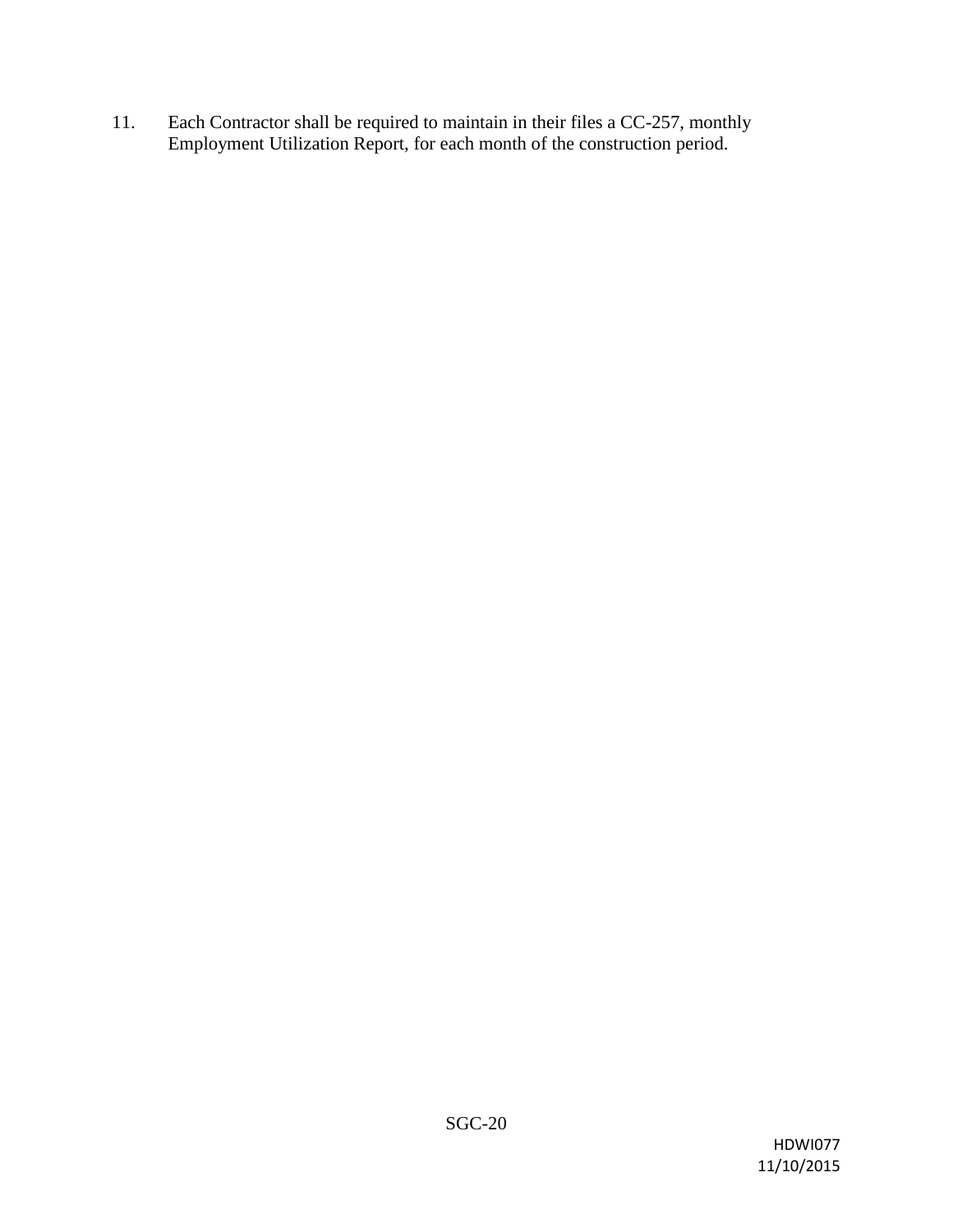11. Each Contractor shall be required to maintain in their files a CC-257, monthly Employment Utilization Report, for each month of the construction period.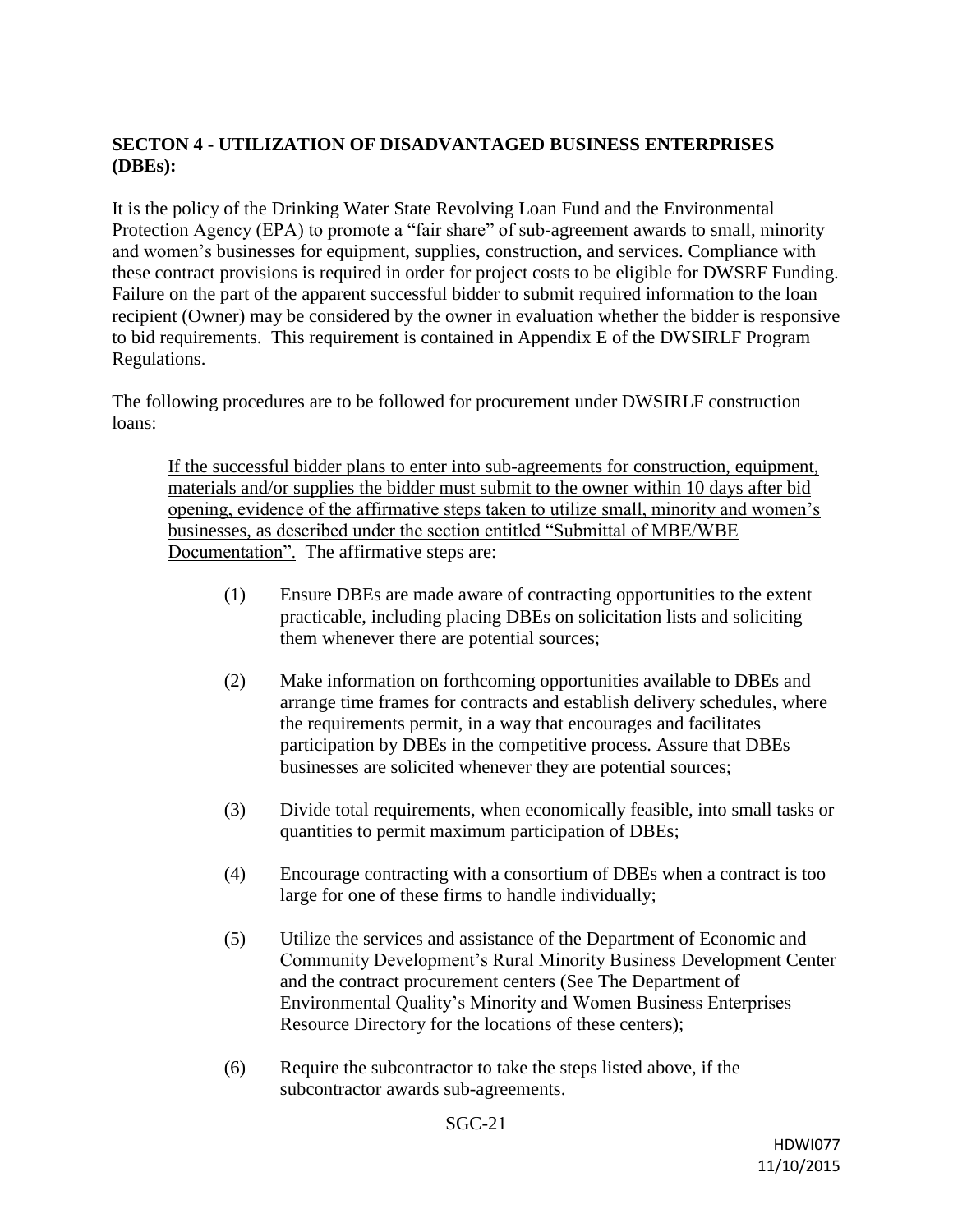## **SECTON 4 - UTILIZATION OF DISADVANTAGED BUSINESS ENTERPRISES (DBEs):**

It is the policy of the Drinking Water State Revolving Loan Fund and the Environmental Protection Agency (EPA) to promote a "fair share" of sub-agreement awards to small, minority and women's businesses for equipment, supplies, construction, and services. Compliance with these contract provisions is required in order for project costs to be eligible for DWSRF Funding. Failure on the part of the apparent successful bidder to submit required information to the loan recipient (Owner) may be considered by the owner in evaluation whether the bidder is responsive to bid requirements. This requirement is contained in Appendix E of the DWSIRLF Program Regulations.

The following procedures are to be followed for procurement under DWSIRLF construction loans:

If the successful bidder plans to enter into sub-agreements for construction, equipment, materials and/or supplies the bidder must submit to the owner within 10 days after bid opening, evidence of the affirmative steps taken to utilize small, minority and women's businesses, as described under the section entitled "Submittal of MBE/WBE Documentation". The affirmative steps are:

- (1) Ensure DBEs are made aware of contracting opportunities to the extent practicable, including placing DBEs on solicitation lists and soliciting them whenever there are potential sources;
- (2) Make information on forthcoming opportunities available to DBEs and arrange time frames for contracts and establish delivery schedules, where the requirements permit, in a way that encourages and facilitates participation by DBEs in the competitive process. Assure that DBEs businesses are solicited whenever they are potential sources;
- (3) Divide total requirements, when economically feasible, into small tasks or quantities to permit maximum participation of DBEs;
- (4) Encourage contracting with a consortium of DBEs when a contract is too large for one of these firms to handle individually;
- (5) Utilize the services and assistance of the Department of Economic and Community Development's Rural Minority Business Development Center and the contract procurement centers (See The Department of Environmental Quality's Minority and Women Business Enterprises Resource Directory for the locations of these centers);
- (6) Require the subcontractor to take the steps listed above, if the subcontractor awards sub-agreements.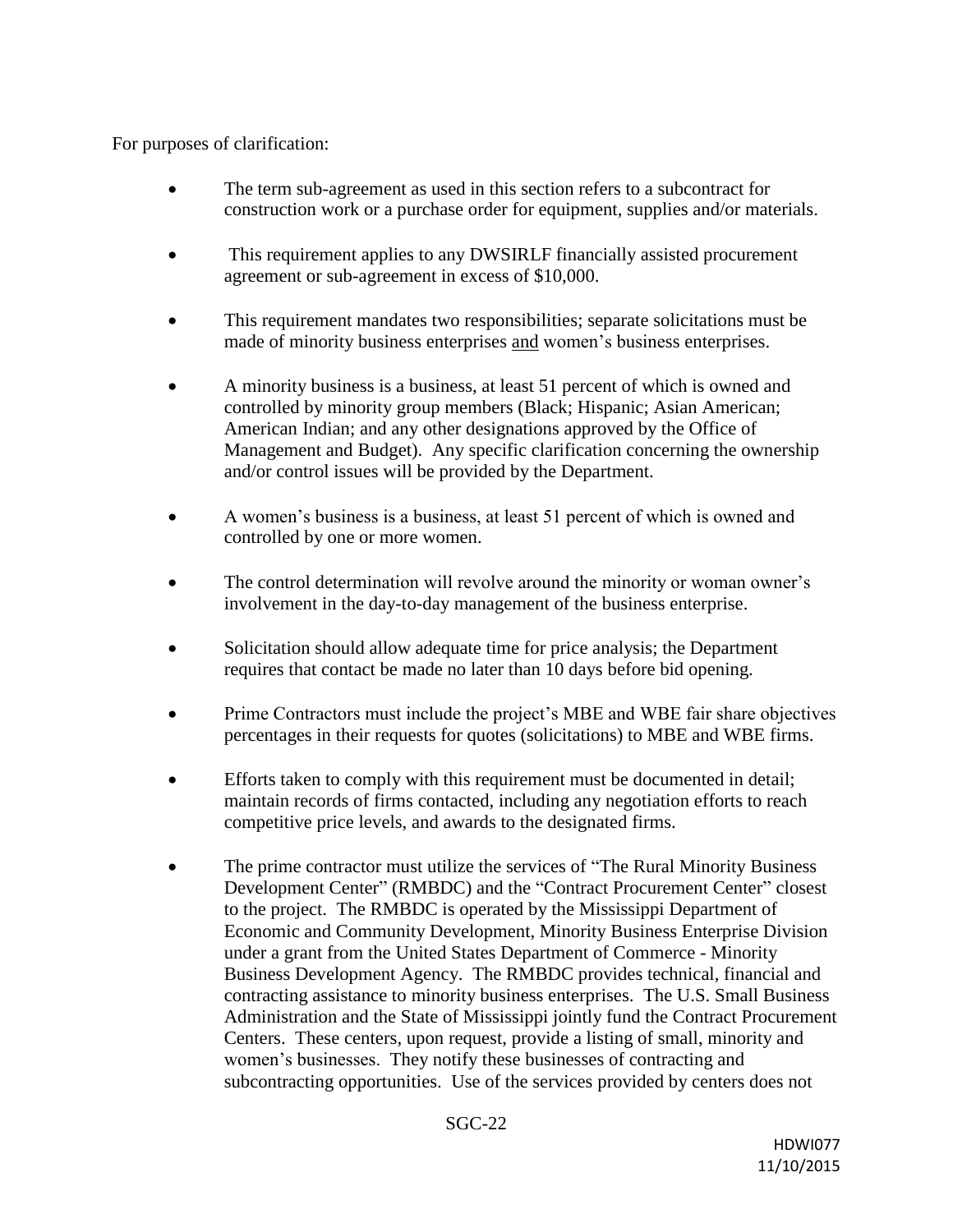For purposes of clarification:

- The term sub-agreement as used in this section refers to a subcontract for construction work or a purchase order for equipment, supplies and/or materials.
- This requirement applies to any DWSIRLF financially assisted procurement agreement or sub-agreement in excess of \$10,000.
- This requirement mandates two responsibilities; separate solicitations must be made of minority business enterprises and women's business enterprises.
- A minority business is a business, at least 51 percent of which is owned and controlled by minority group members (Black; Hispanic; Asian American; American Indian; and any other designations approved by the Office of Management and Budget). Any specific clarification concerning the ownership and/or control issues will be provided by the Department.
- A women's business is a business, at least 51 percent of which is owned and controlled by one or more women.
- The control determination will revolve around the minority or woman owner's involvement in the day-to-day management of the business enterprise.
- Solicitation should allow adequate time for price analysis; the Department requires that contact be made no later than 10 days before bid opening.
- Prime Contractors must include the project's MBE and WBE fair share objectives percentages in their requests for quotes (solicitations) to MBE and WBE firms.
- Efforts taken to comply with this requirement must be documented in detail; maintain records of firms contacted, including any negotiation efforts to reach competitive price levels, and awards to the designated firms.
- The prime contractor must utilize the services of "The Rural Minority Business Development Center" (RMBDC) and the "Contract Procurement Center" closest to the project. The RMBDC is operated by the Mississippi Department of Economic and Community Development, Minority Business Enterprise Division under a grant from the United States Department of Commerce - Minority Business Development Agency. The RMBDC provides technical, financial and contracting assistance to minority business enterprises. The U.S. Small Business Administration and the State of Mississippi jointly fund the Contract Procurement Centers. These centers, upon request, provide a listing of small, minority and women's businesses. They notify these businesses of contracting and subcontracting opportunities. Use of the services provided by centers does not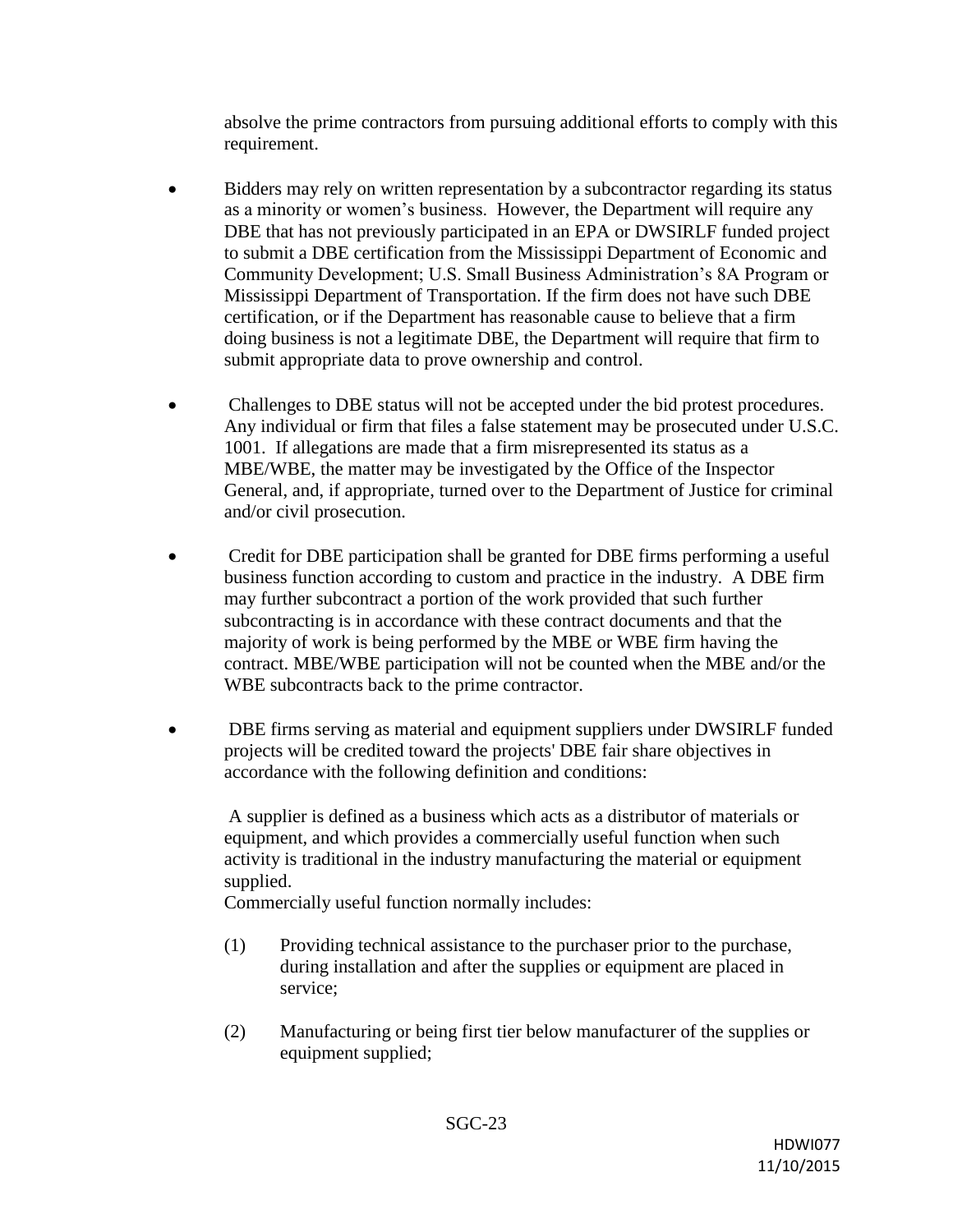absolve the prime contractors from pursuing additional efforts to comply with this requirement.

- Bidders may rely on written representation by a subcontractor regarding its status as a minority or women's business. However, the Department will require any DBE that has not previously participated in an EPA or DWSIRLF funded project to submit a DBE certification from the Mississippi Department of Economic and Community Development; U.S. Small Business Administration's 8A Program or Mississippi Department of Transportation. If the firm does not have such DBE certification, or if the Department has reasonable cause to believe that a firm doing business is not a legitimate DBE, the Department will require that firm to submit appropriate data to prove ownership and control.
- Challenges to DBE status will not be accepted under the bid protest procedures. Any individual or firm that files a false statement may be prosecuted under U.S.C. 1001. If allegations are made that a firm misrepresented its status as a MBE/WBE, the matter may be investigated by the Office of the Inspector General, and, if appropriate, turned over to the Department of Justice for criminal and/or civil prosecution.
- Credit for DBE participation shall be granted for DBE firms performing a useful business function according to custom and practice in the industry. A DBE firm may further subcontract a portion of the work provided that such further subcontracting is in accordance with these contract documents and that the majority of work is being performed by the MBE or WBE firm having the contract. MBE/WBE participation will not be counted when the MBE and/or the WBE subcontracts back to the prime contractor.
- DBE firms serving as material and equipment suppliers under DWSIRLF funded projects will be credited toward the projects' DBE fair share objectives in accordance with the following definition and conditions:

A supplier is defined as a business which acts as a distributor of materials or equipment, and which provides a commercially useful function when such activity is traditional in the industry manufacturing the material or equipment supplied.

Commercially useful function normally includes:

- (1) Providing technical assistance to the purchaser prior to the purchase, during installation and after the supplies or equipment are placed in service;
- (2) Manufacturing or being first tier below manufacturer of the supplies or equipment supplied;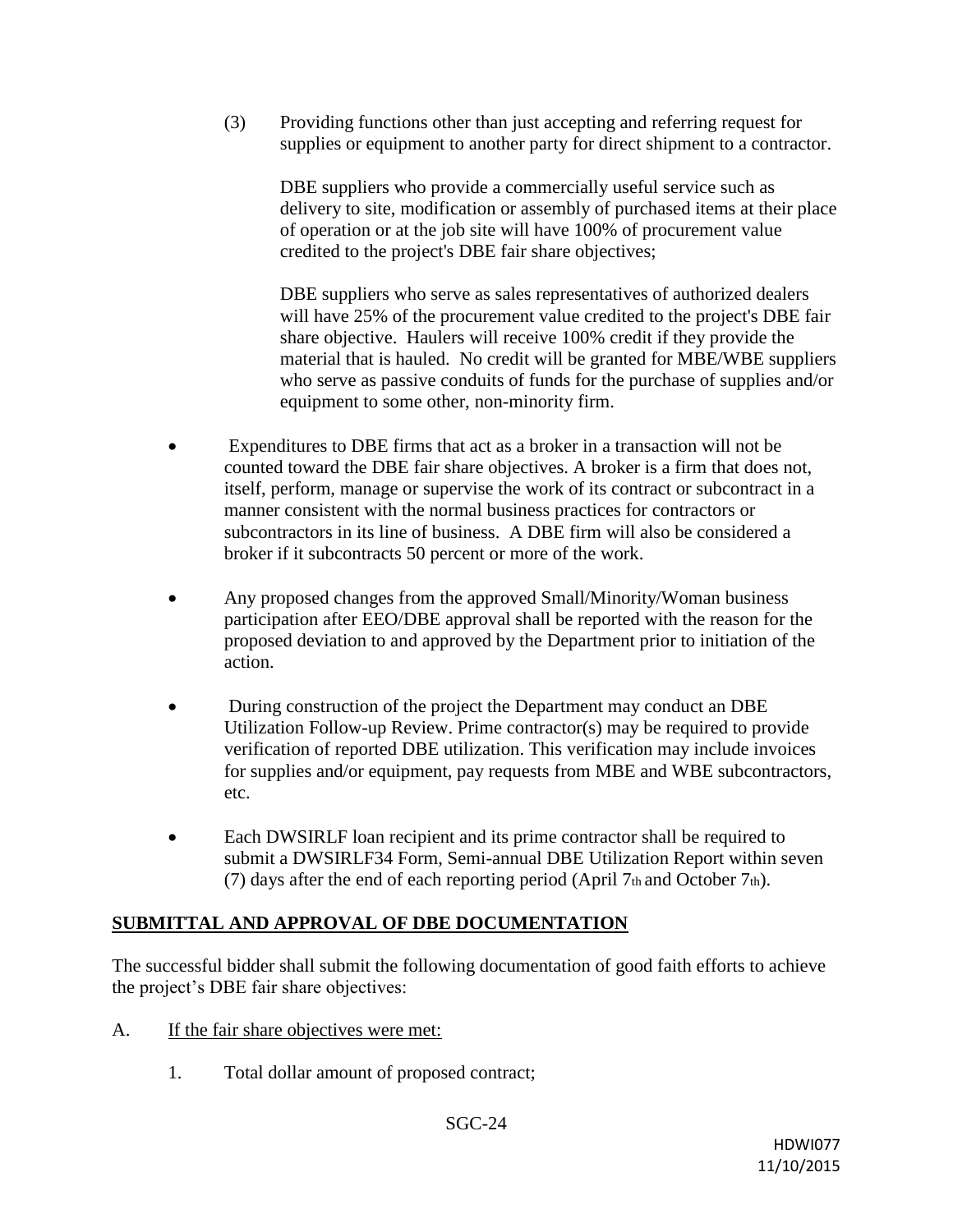(3) Providing functions other than just accepting and referring request for supplies or equipment to another party for direct shipment to a contractor.

DBE suppliers who provide a commercially useful service such as delivery to site, modification or assembly of purchased items at their place of operation or at the job site will have 100% of procurement value credited to the project's DBE fair share objectives;

DBE suppliers who serve as sales representatives of authorized dealers will have 25% of the procurement value credited to the project's DBE fair share objective. Haulers will receive 100% credit if they provide the material that is hauled. No credit will be granted for MBE/WBE suppliers who serve as passive conduits of funds for the purchase of supplies and/or equipment to some other, non-minority firm.

- Expenditures to DBE firms that act as a broker in a transaction will not be counted toward the DBE fair share objectives. A broker is a firm that does not, itself, perform, manage or supervise the work of its contract or subcontract in a manner consistent with the normal business practices for contractors or subcontractors in its line of business. A DBE firm will also be considered a broker if it subcontracts 50 percent or more of the work.
- Any proposed changes from the approved Small/Minority/Woman business participation after EEO/DBE approval shall be reported with the reason for the proposed deviation to and approved by the Department prior to initiation of the action.
- During construction of the project the Department may conduct an DBE Utilization Follow-up Review. Prime contractor(s) may be required to provide verification of reported DBE utilization. This verification may include invoices for supplies and/or equipment, pay requests from MBE and WBE subcontractors, etc.
- Each DWSIRLF loan recipient and its prime contractor shall be required to submit a DWSIRLF34 Form, Semi-annual DBE Utilization Report within seven (7) days after the end of each reporting period (April 7th and October 7th).

# **SUBMITTAL AND APPROVAL OF DBE DOCUMENTATION**

The successful bidder shall submit the following documentation of good faith efforts to achieve the project's DBE fair share objectives:

- A. If the fair share objectives were met:
	- 1. Total dollar amount of proposed contract;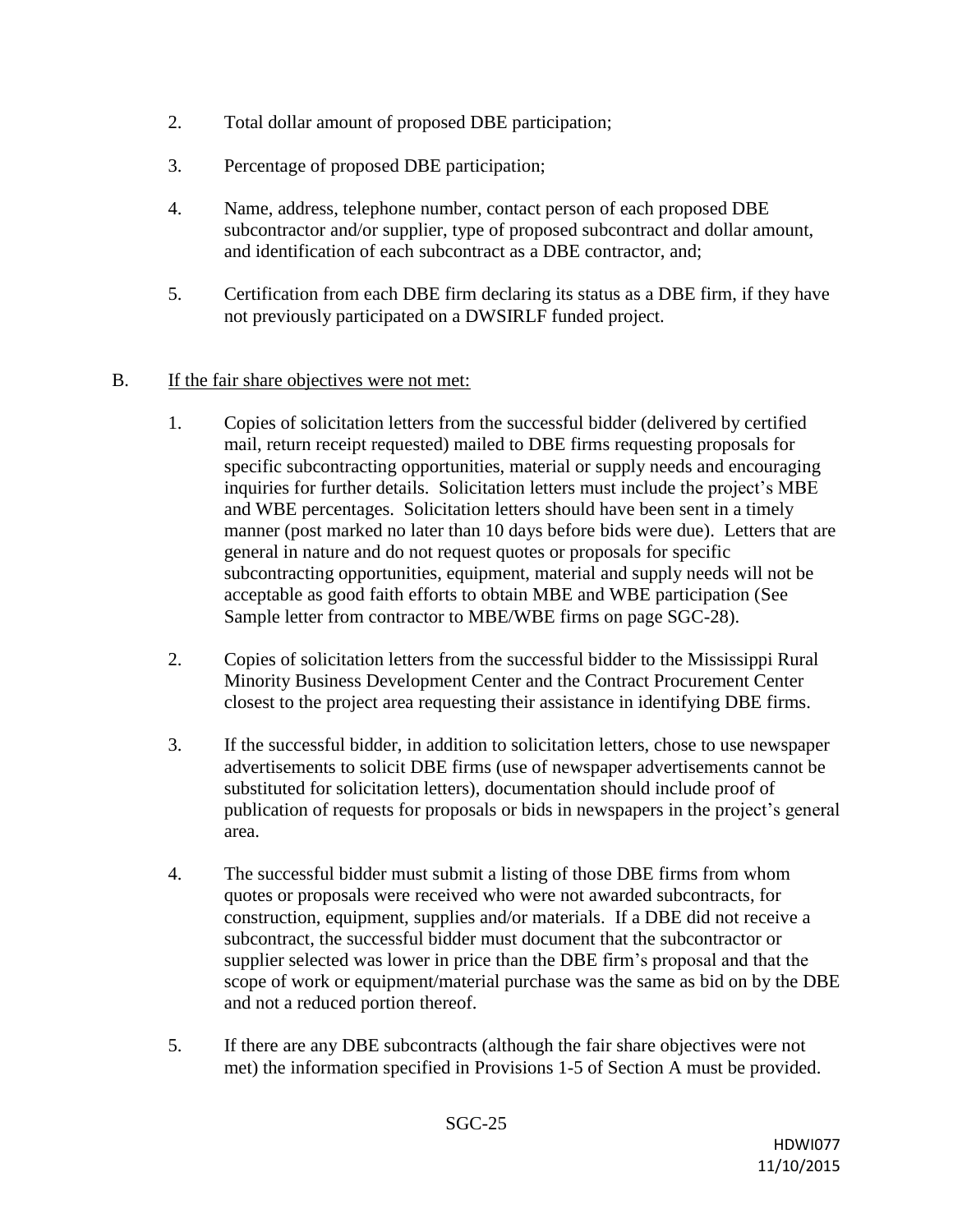- 2. Total dollar amount of proposed DBE participation;
- 3. Percentage of proposed DBE participation;
- 4. Name, address, telephone number, contact person of each proposed DBE subcontractor and/or supplier, type of proposed subcontract and dollar amount, and identification of each subcontract as a DBE contractor, and;
- 5. Certification from each DBE firm declaring its status as a DBE firm, if they have not previously participated on a DWSIRLF funded project.

### B. If the fair share objectives were not met:

- 1. Copies of solicitation letters from the successful bidder (delivered by certified mail, return receipt requested) mailed to DBE firms requesting proposals for specific subcontracting opportunities, material or supply needs and encouraging inquiries for further details. Solicitation letters must include the project's MBE and WBE percentages. Solicitation letters should have been sent in a timely manner (post marked no later than 10 days before bids were due). Letters that are general in nature and do not request quotes or proposals for specific subcontracting opportunities, equipment, material and supply needs will not be acceptable as good faith efforts to obtain MBE and WBE participation (See Sample letter from contractor to MBE/WBE firms on page SGC-28).
- 2. Copies of solicitation letters from the successful bidder to the Mississippi Rural Minority Business Development Center and the Contract Procurement Center closest to the project area requesting their assistance in identifying DBE firms.
- 3. If the successful bidder, in addition to solicitation letters, chose to use newspaper advertisements to solicit DBE firms (use of newspaper advertisements cannot be substituted for solicitation letters), documentation should include proof of publication of requests for proposals or bids in newspapers in the project's general area.
- 4. The successful bidder must submit a listing of those DBE firms from whom quotes or proposals were received who were not awarded subcontracts, for construction, equipment, supplies and/or materials. If a DBE did not receive a subcontract, the successful bidder must document that the subcontractor or supplier selected was lower in price than the DBE firm's proposal and that the scope of work or equipment/material purchase was the same as bid on by the DBE and not a reduced portion thereof.
- 5. If there are any DBE subcontracts (although the fair share objectives were not met) the information specified in Provisions 1-5 of Section A must be provided.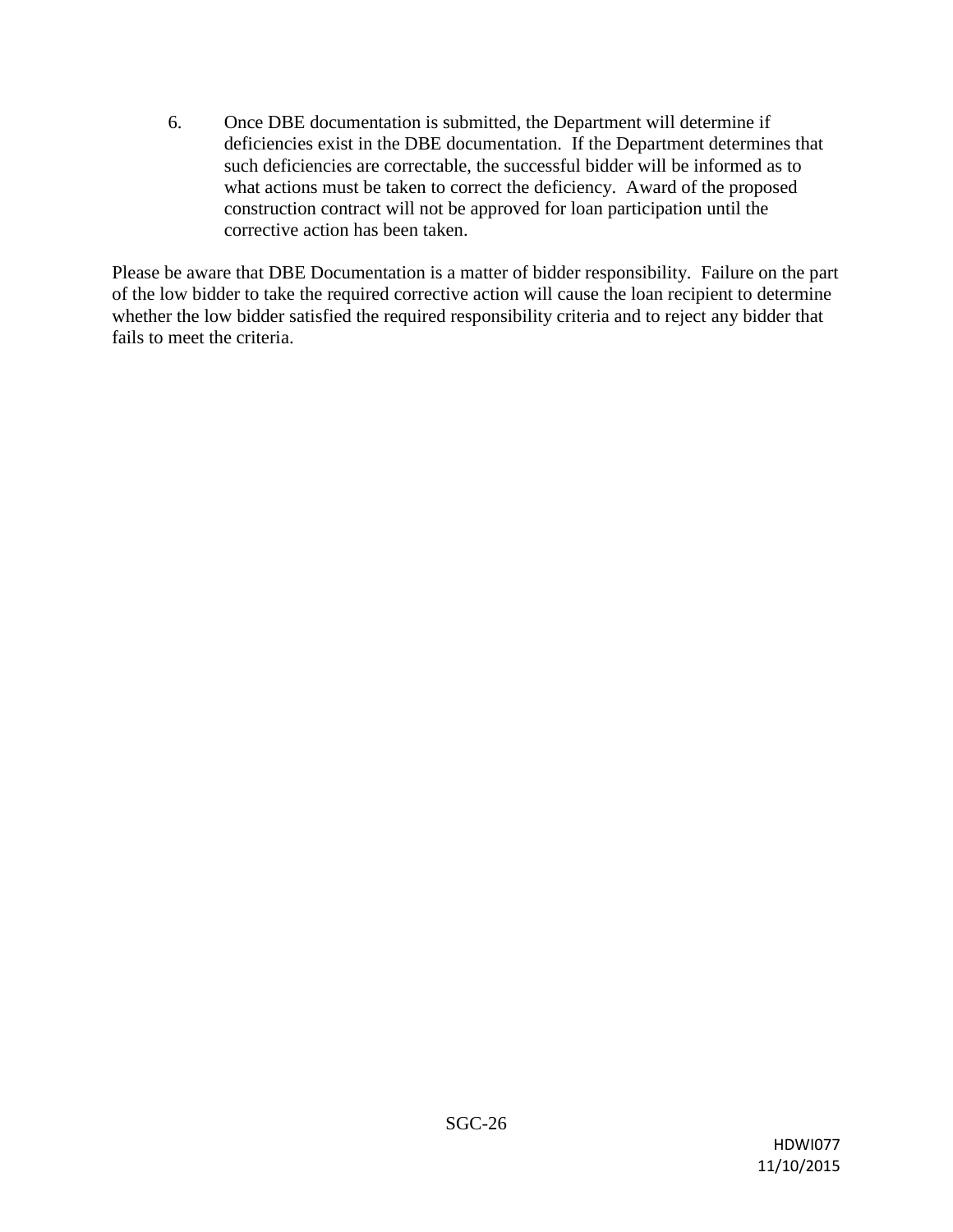6. Once DBE documentation is submitted, the Department will determine if deficiencies exist in the DBE documentation. If the Department determines that such deficiencies are correctable, the successful bidder will be informed as to what actions must be taken to correct the deficiency. Award of the proposed construction contract will not be approved for loan participation until the corrective action has been taken.

Please be aware that DBE Documentation is a matter of bidder responsibility. Failure on the part of the low bidder to take the required corrective action will cause the loan recipient to determine whether the low bidder satisfied the required responsibility criteria and to reject any bidder that fails to meet the criteria.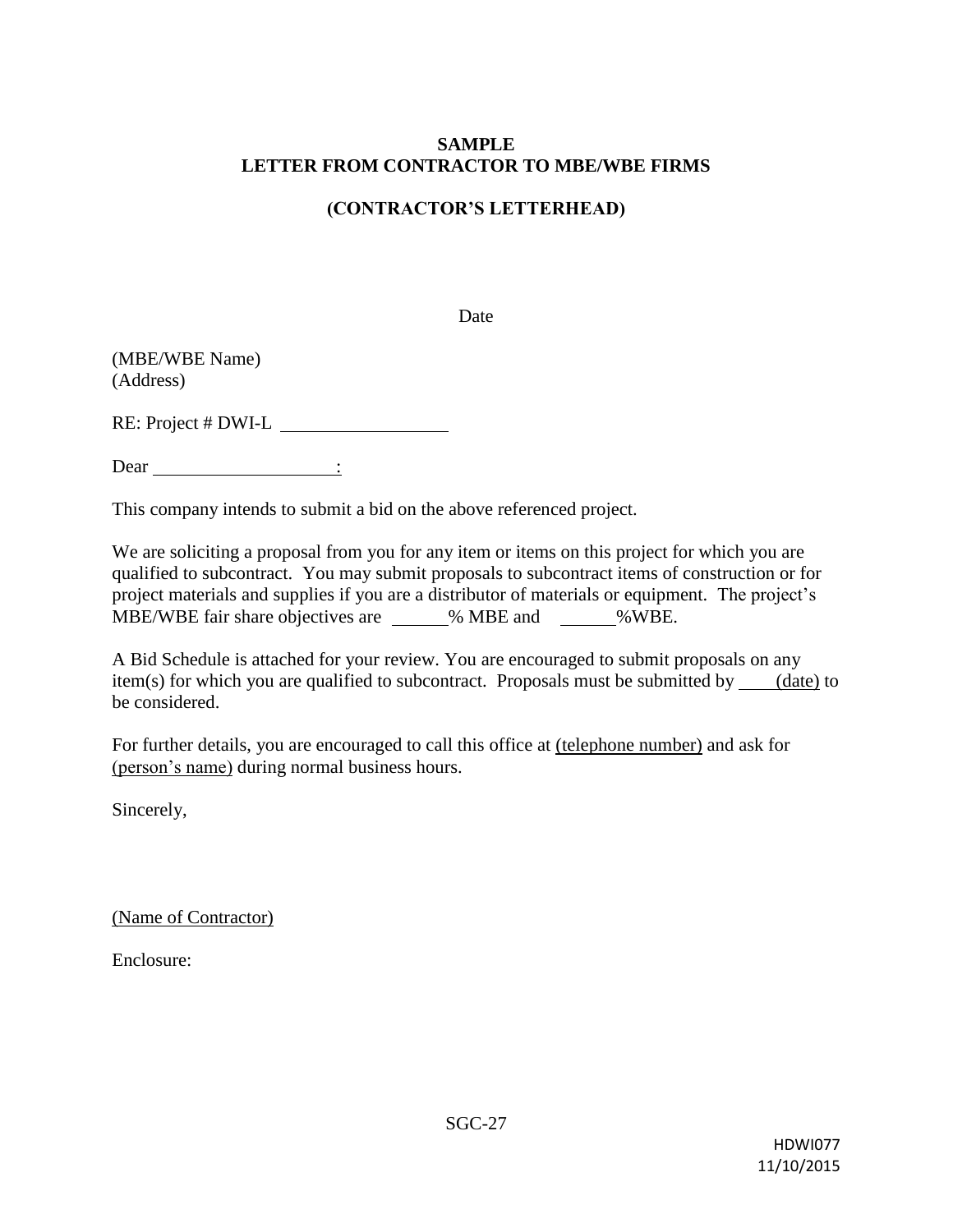### **SAMPLE LETTER FROM CONTRACTOR TO MBE/WBE FIRMS**

### **(CONTRACTOR'S LETTERHEAD)**

Date

(MBE/WBE Name) (Address)

RE: Project # DWI-L

Dear :

This company intends to submit a bid on the above referenced project.

We are soliciting a proposal from you for any item or items on this project for which you are qualified to subcontract. You may submit proposals to subcontract items of construction or for project materials and supplies if you are a distributor of materials or equipment. The project's MBE/WBE fair share objectives are  $\%$  MBE and  $\%$  WBE.

A Bid Schedule is attached for your review. You are encouraged to submit proposals on any item(s) for which you are qualified to subcontract. Proposals must be submitted by  $\qquad$  (date) to be considered.

For further details, you are encouraged to call this office at (telephone number) and ask for (person's name) during normal business hours.

Sincerely,

(Name of Contractor)

Enclosure: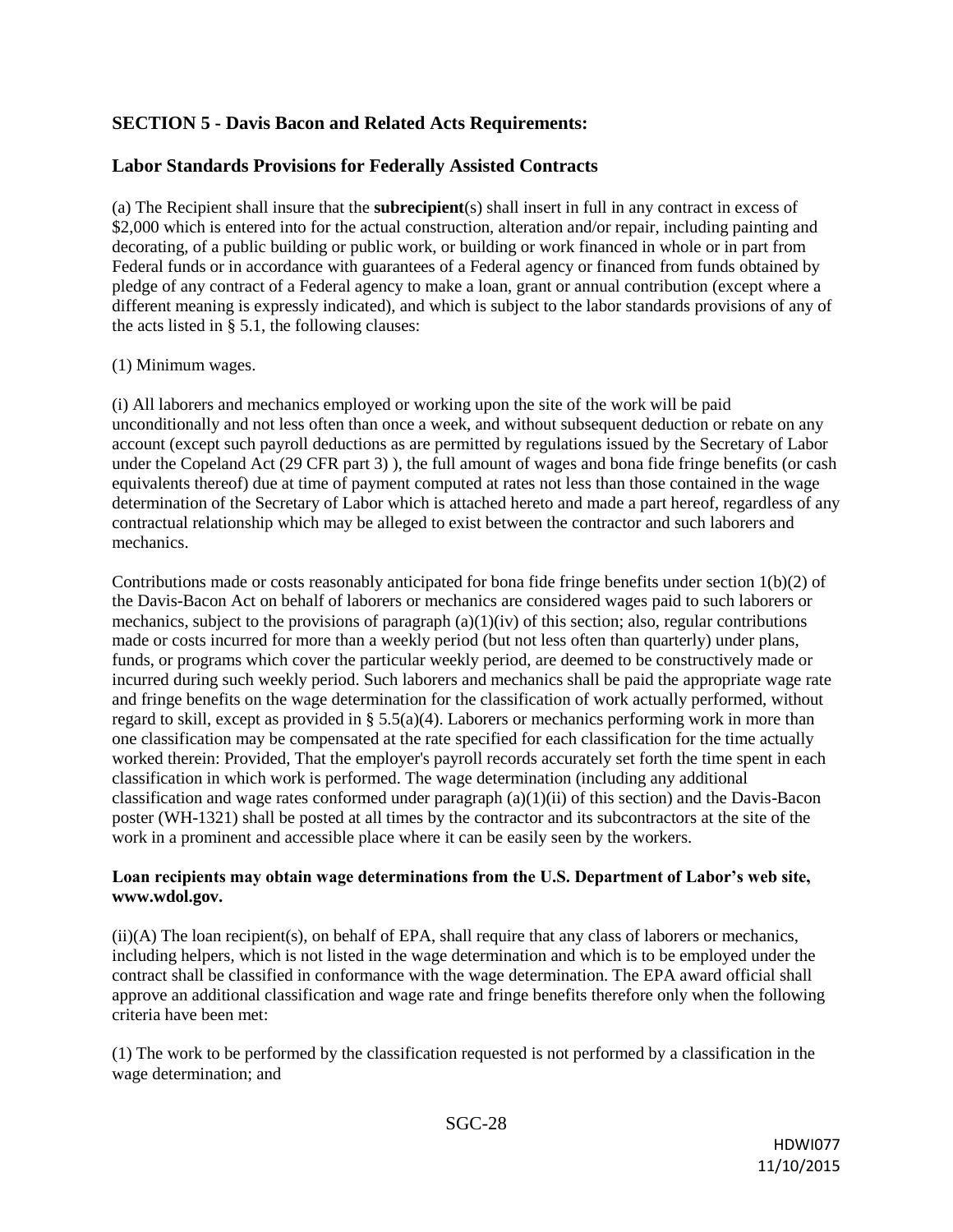## **SECTION 5 - Davis Bacon and Related Acts Requirements:**

#### **Labor Standards Provisions for Federally Assisted Contracts**

(a) The Recipient shall insure that the **subrecipient**(s) shall insert in full in any contract in excess of \$2,000 which is entered into for the actual construction, alteration and/or repair, including painting and decorating, of a public building or public work, or building or work financed in whole or in part from Federal funds or in accordance with guarantees of a Federal agency or financed from funds obtained by pledge of any contract of a Federal agency to make a loan, grant or annual contribution (except where a different meaning is expressly indicated), and which is subject to the labor standards provisions of any of the acts listed in § 5.1, the following clauses:

#### (1) Minimum wages.

(i) All laborers and mechanics employed or working upon the site of the work will be paid unconditionally and not less often than once a week, and without subsequent deduction or rebate on any account (except such payroll deductions as are permitted by regulations issued by the Secretary of Labor under the Copeland Act (29 CFR part 3) ), the full amount of wages and bona fide fringe benefits (or cash equivalents thereof) due at time of payment computed at rates not less than those contained in the wage determination of the Secretary of Labor which is attached hereto and made a part hereof, regardless of any contractual relationship which may be alleged to exist between the contractor and such laborers and mechanics.

Contributions made or costs reasonably anticipated for bona fide fringe benefits under section 1(b)(2) of the Davis-Bacon Act on behalf of laborers or mechanics are considered wages paid to such laborers or mechanics, subject to the provisions of paragraph  $(a)(1)(iv)$  of this section; also, regular contributions made or costs incurred for more than a weekly period (but not less often than quarterly) under plans, funds, or programs which cover the particular weekly period, are deemed to be constructively made or incurred during such weekly period. Such laborers and mechanics shall be paid the appropriate wage rate and fringe benefits on the wage determination for the classification of work actually performed, without regard to skill, except as provided in § 5.5(a)(4). Laborers or mechanics performing work in more than one classification may be compensated at the rate specified for each classification for the time actually worked therein: Provided, That the employer's payroll records accurately set forth the time spent in each classification in which work is performed. The wage determination (including any additional classification and wage rates conformed under paragraph  $(a)(1)(ii)$  of this section) and the Davis-Bacon poster (WH-1321) shall be posted at all times by the contractor and its subcontractors at the site of the work in a prominent and accessible place where it can be easily seen by the workers.

#### **Loan recipients may obtain wage determinations from the U.S. Department of Labor's web site, www.wdol.gov.**

(ii)(A) The loan recipient(s), on behalf of EPA, shall require that any class of laborers or mechanics, including helpers, which is not listed in the wage determination and which is to be employed under the contract shall be classified in conformance with the wage determination. The EPA award official shall approve an additional classification and wage rate and fringe benefits therefore only when the following criteria have been met:

(1) The work to be performed by the classification requested is not performed by a classification in the wage determination; and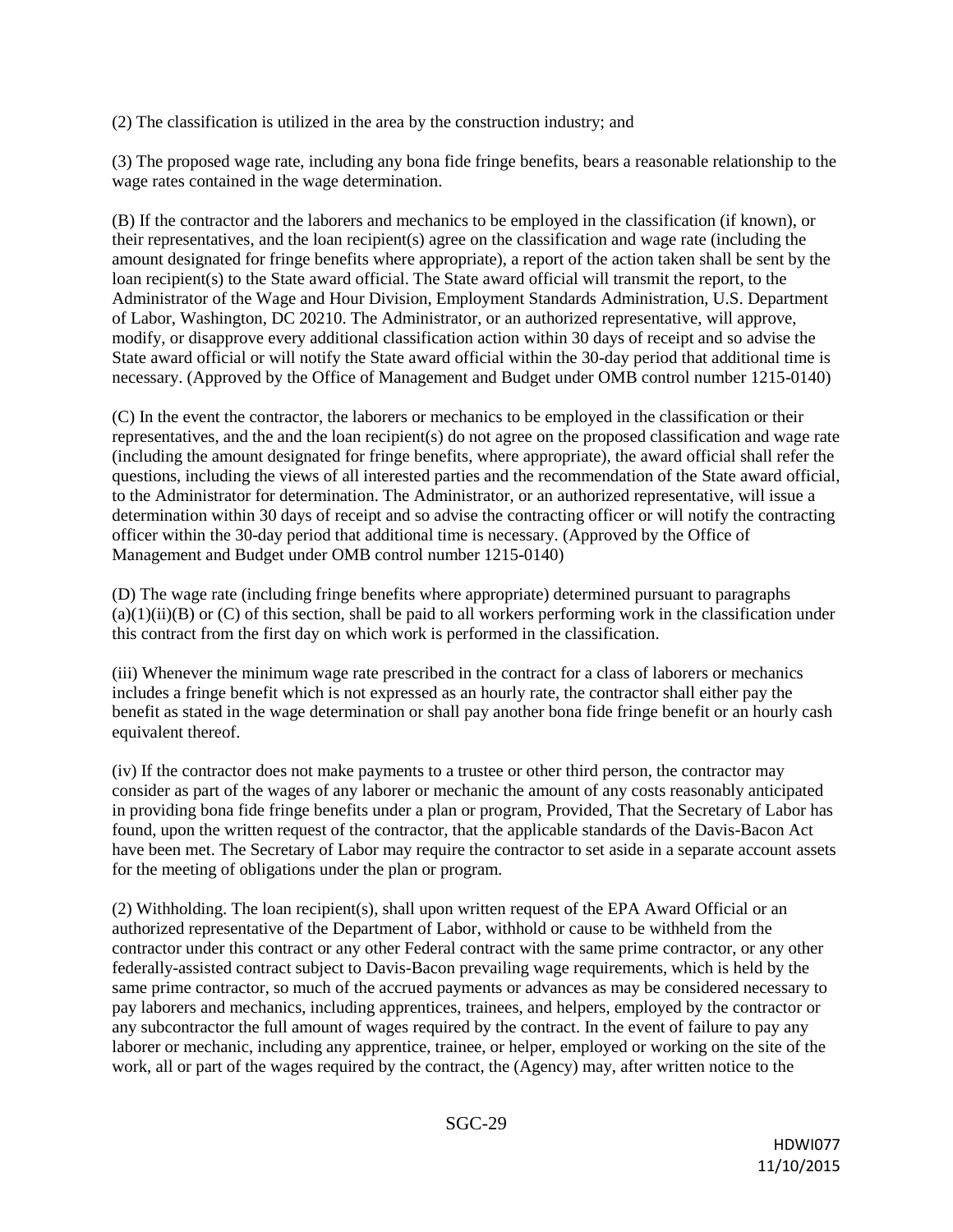(2) The classification is utilized in the area by the construction industry; and

(3) The proposed wage rate, including any bona fide fringe benefits, bears a reasonable relationship to the wage rates contained in the wage determination.

(B) If the contractor and the laborers and mechanics to be employed in the classification (if known), or their representatives, and the loan recipient(s) agree on the classification and wage rate (including the amount designated for fringe benefits where appropriate), a report of the action taken shall be sent by the loan recipient(s) to the State award official. The State award official will transmit the report, to the Administrator of the Wage and Hour Division, Employment Standards Administration, U.S. Department of Labor, Washington, DC 20210. The Administrator, or an authorized representative, will approve, modify, or disapprove every additional classification action within 30 days of receipt and so advise the State award official or will notify the State award official within the 30-day period that additional time is necessary. (Approved by the Office of Management and Budget under OMB control number 1215-0140)

(C) In the event the contractor, the laborers or mechanics to be employed in the classification or their representatives, and the and the loan recipient(s) do not agree on the proposed classification and wage rate (including the amount designated for fringe benefits, where appropriate), the award official shall refer the questions, including the views of all interested parties and the recommendation of the State award official, to the Administrator for determination. The Administrator, or an authorized representative, will issue a determination within 30 days of receipt and so advise the contracting officer or will notify the contracting officer within the 30-day period that additional time is necessary. (Approved by the Office of Management and Budget under OMB control number 1215-0140)

(D) The wage rate (including fringe benefits where appropriate) determined pursuant to paragraphs  $(a)(1)(ii)(B)$  or  $(C)$  of this section, shall be paid to all workers performing work in the classification under this contract from the first day on which work is performed in the classification.

(iii) Whenever the minimum wage rate prescribed in the contract for a class of laborers or mechanics includes a fringe benefit which is not expressed as an hourly rate, the contractor shall either pay the benefit as stated in the wage determination or shall pay another bona fide fringe benefit or an hourly cash equivalent thereof.

(iv) If the contractor does not make payments to a trustee or other third person, the contractor may consider as part of the wages of any laborer or mechanic the amount of any costs reasonably anticipated in providing bona fide fringe benefits under a plan or program, Provided, That the Secretary of Labor has found, upon the written request of the contractor, that the applicable standards of the Davis-Bacon Act have been met. The Secretary of Labor may require the contractor to set aside in a separate account assets for the meeting of obligations under the plan or program.

(2) Withholding. The loan recipient(s), shall upon written request of the EPA Award Official or an authorized representative of the Department of Labor, withhold or cause to be withheld from the contractor under this contract or any other Federal contract with the same prime contractor, or any other federally-assisted contract subject to Davis-Bacon prevailing wage requirements, which is held by the same prime contractor, so much of the accrued payments or advances as may be considered necessary to pay laborers and mechanics, including apprentices, trainees, and helpers, employed by the contractor or any subcontractor the full amount of wages required by the contract. In the event of failure to pay any laborer or mechanic, including any apprentice, trainee, or helper, employed or working on the site of the work, all or part of the wages required by the contract, the (Agency) may, after written notice to the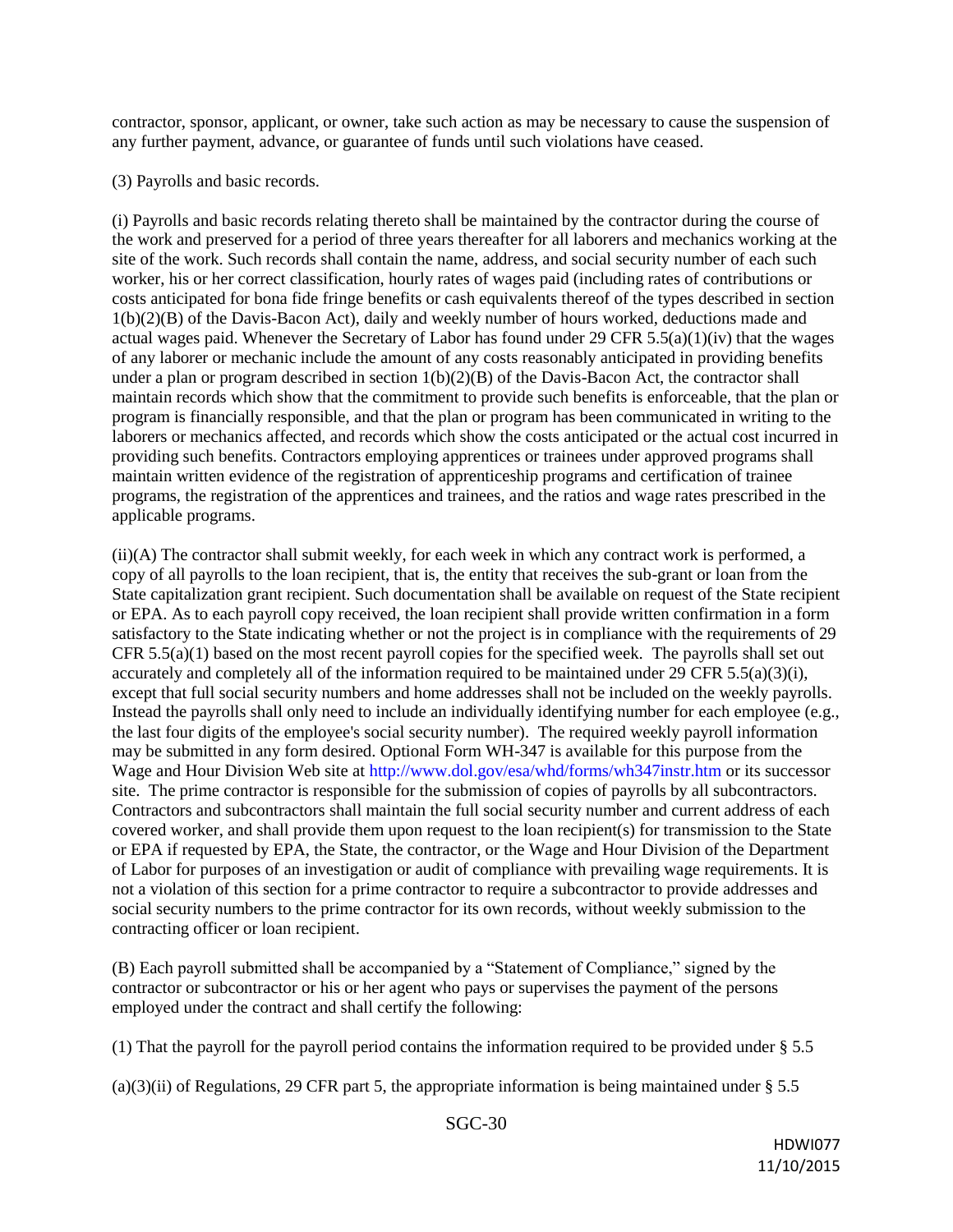contractor, sponsor, applicant, or owner, take such action as may be necessary to cause the suspension of any further payment, advance, or guarantee of funds until such violations have ceased.

#### (3) Payrolls and basic records.

(i) Payrolls and basic records relating thereto shall be maintained by the contractor during the course of the work and preserved for a period of three years thereafter for all laborers and mechanics working at the site of the work. Such records shall contain the name, address, and social security number of each such worker, his or her correct classification, hourly rates of wages paid (including rates of contributions or costs anticipated for bona fide fringe benefits or cash equivalents thereof of the types described in section 1(b)(2)(B) of the Davis-Bacon Act), daily and weekly number of hours worked, deductions made and actual wages paid. Whenever the Secretary of Labor has found under 29 CFR 5.5(a)(1)(iv) that the wages of any laborer or mechanic include the amount of any costs reasonably anticipated in providing benefits under a plan or program described in section  $1(b)(2)(B)$  of the Davis-Bacon Act, the contractor shall maintain records which show that the commitment to provide such benefits is enforceable, that the plan or program is financially responsible, and that the plan or program has been communicated in writing to the laborers or mechanics affected, and records which show the costs anticipated or the actual cost incurred in providing such benefits. Contractors employing apprentices or trainees under approved programs shall maintain written evidence of the registration of apprenticeship programs and certification of trainee programs, the registration of the apprentices and trainees, and the ratios and wage rates prescribed in the applicable programs.

(ii)(A) The contractor shall submit weekly, for each week in which any contract work is performed, a copy of all payrolls to the loan recipient, that is, the entity that receives the sub-grant or loan from the State capitalization grant recipient. Such documentation shall be available on request of the State recipient or EPA. As to each payroll copy received, the loan recipient shall provide written confirmation in a form satisfactory to the State indicating whether or not the project is in compliance with the requirements of 29 CFR 5.5(a)(1) based on the most recent payroll copies for the specified week. The payrolls shall set out accurately and completely all of the information required to be maintained under 29 CFR 5.5(a)(3)(i), except that full social security numbers and home addresses shall not be included on the weekly payrolls. Instead the payrolls shall only need to include an individually identifying number for each employee (e.g., the last four digits of the employee's social security number). The required weekly payroll information may be submitted in any form desired. Optional Form WH-347 is available for this purpose from the Wage and Hour Division Web site at http://www.dol.gov/esa/whd/forms/wh347instr.htm or its successor site. The prime contractor is responsible for the submission of copies of payrolls by all subcontractors. Contractors and subcontractors shall maintain the full social security number and current address of each covered worker, and shall provide them upon request to the loan recipient(s) for transmission to the State or EPA if requested by EPA, the State, the contractor, or the Wage and Hour Division of the Department of Labor for purposes of an investigation or audit of compliance with prevailing wage requirements. It is not a violation of this section for a prime contractor to require a subcontractor to provide addresses and social security numbers to the prime contractor for its own records, without weekly submission to the contracting officer or loan recipient.

(B) Each payroll submitted shall be accompanied by a "Statement of Compliance," signed by the contractor or subcontractor or his or her agent who pays or supervises the payment of the persons employed under the contract and shall certify the following:

(1) That the payroll for the payroll period contains the information required to be provided under § 5.5

 $(a)(3)(ii)$  of Regulations, 29 CFR part 5, the appropriate information is being maintained under § 5.5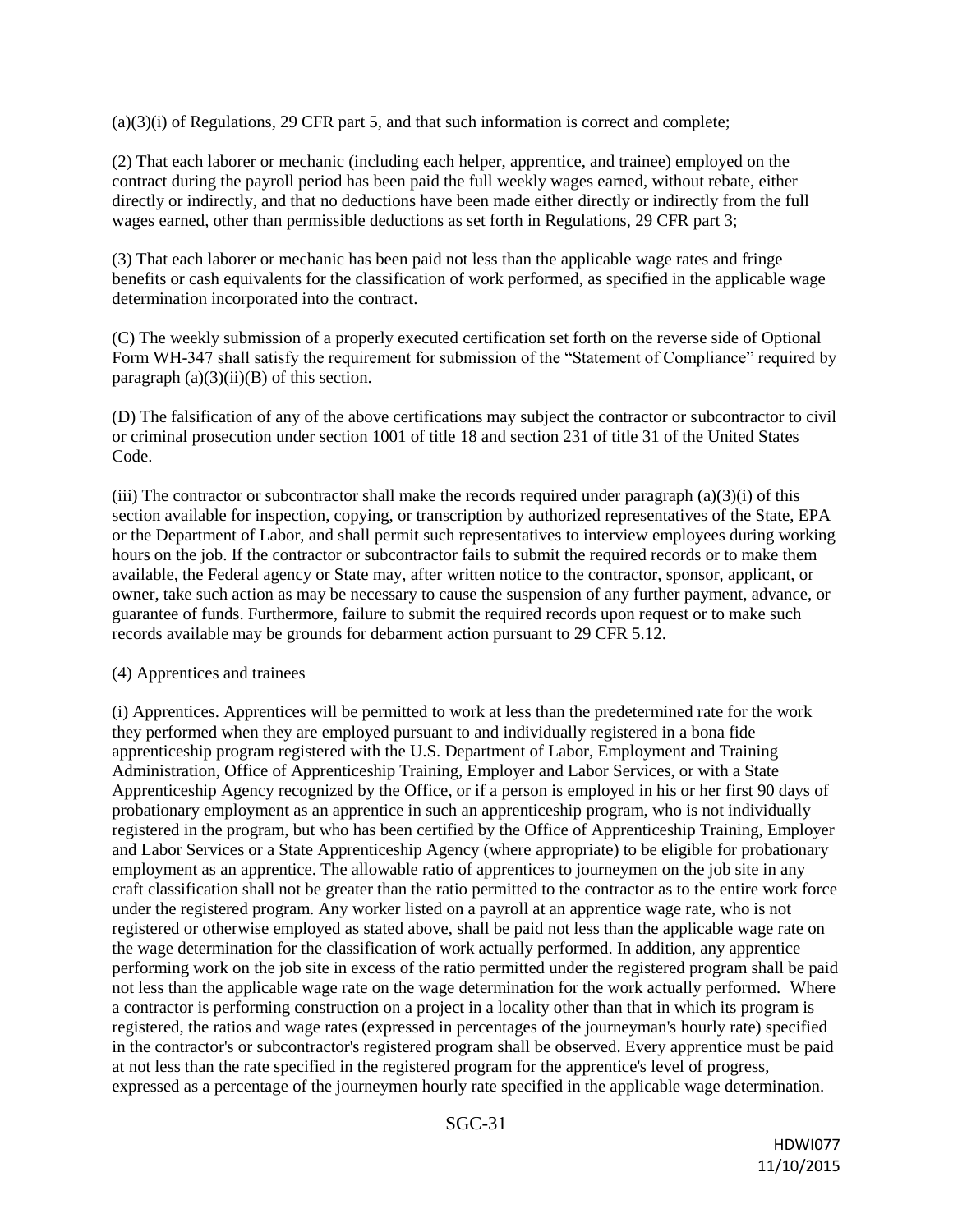(a)(3)(i) of Regulations, 29 CFR part 5, and that such information is correct and complete;

(2) That each laborer or mechanic (including each helper, apprentice, and trainee) employed on the contract during the payroll period has been paid the full weekly wages earned, without rebate, either directly or indirectly, and that no deductions have been made either directly or indirectly from the full wages earned, other than permissible deductions as set forth in Regulations, 29 CFR part 3;

(3) That each laborer or mechanic has been paid not less than the applicable wage rates and fringe benefits or cash equivalents for the classification of work performed, as specified in the applicable wage determination incorporated into the contract.

(C) The weekly submission of a properly executed certification set forth on the reverse side of Optional Form WH-347 shall satisfy the requirement for submission of the "Statement of Compliance" required by paragraph  $(a)(3)(ii)(B)$  of this section.

(D) The falsification of any of the above certifications may subject the contractor or subcontractor to civil or criminal prosecution under section 1001 of title 18 and section 231 of title 31 of the United States Code.

(iii) The contractor or subcontractor shall make the records required under paragraph  $(a)(3)(i)$  of this section available for inspection, copying, or transcription by authorized representatives of the State, EPA or the Department of Labor, and shall permit such representatives to interview employees during working hours on the job. If the contractor or subcontractor fails to submit the required records or to make them available, the Federal agency or State may, after written notice to the contractor, sponsor, applicant, or owner, take such action as may be necessary to cause the suspension of any further payment, advance, or guarantee of funds. Furthermore, failure to submit the required records upon request or to make such records available may be grounds for debarment action pursuant to 29 CFR 5.12.

#### (4) Apprentices and trainees

(i) Apprentices. Apprentices will be permitted to work at less than the predetermined rate for the work they performed when they are employed pursuant to and individually registered in a bona fide apprenticeship program registered with the U.S. Department of Labor, Employment and Training Administration, Office of Apprenticeship Training, Employer and Labor Services, or with a State Apprenticeship Agency recognized by the Office, or if a person is employed in his or her first 90 days of probationary employment as an apprentice in such an apprenticeship program, who is not individually registered in the program, but who has been certified by the Office of Apprenticeship Training, Employer and Labor Services or a State Apprenticeship Agency (where appropriate) to be eligible for probationary employment as an apprentice. The allowable ratio of apprentices to journeymen on the job site in any craft classification shall not be greater than the ratio permitted to the contractor as to the entire work force under the registered program. Any worker listed on a payroll at an apprentice wage rate, who is not registered or otherwise employed as stated above, shall be paid not less than the applicable wage rate on the wage determination for the classification of work actually performed. In addition, any apprentice performing work on the job site in excess of the ratio permitted under the registered program shall be paid not less than the applicable wage rate on the wage determination for the work actually performed. Where a contractor is performing construction on a project in a locality other than that in which its program is registered, the ratios and wage rates (expressed in percentages of the journeyman's hourly rate) specified in the contractor's or subcontractor's registered program shall be observed. Every apprentice must be paid at not less than the rate specified in the registered program for the apprentice's level of progress, expressed as a percentage of the journeymen hourly rate specified in the applicable wage determination.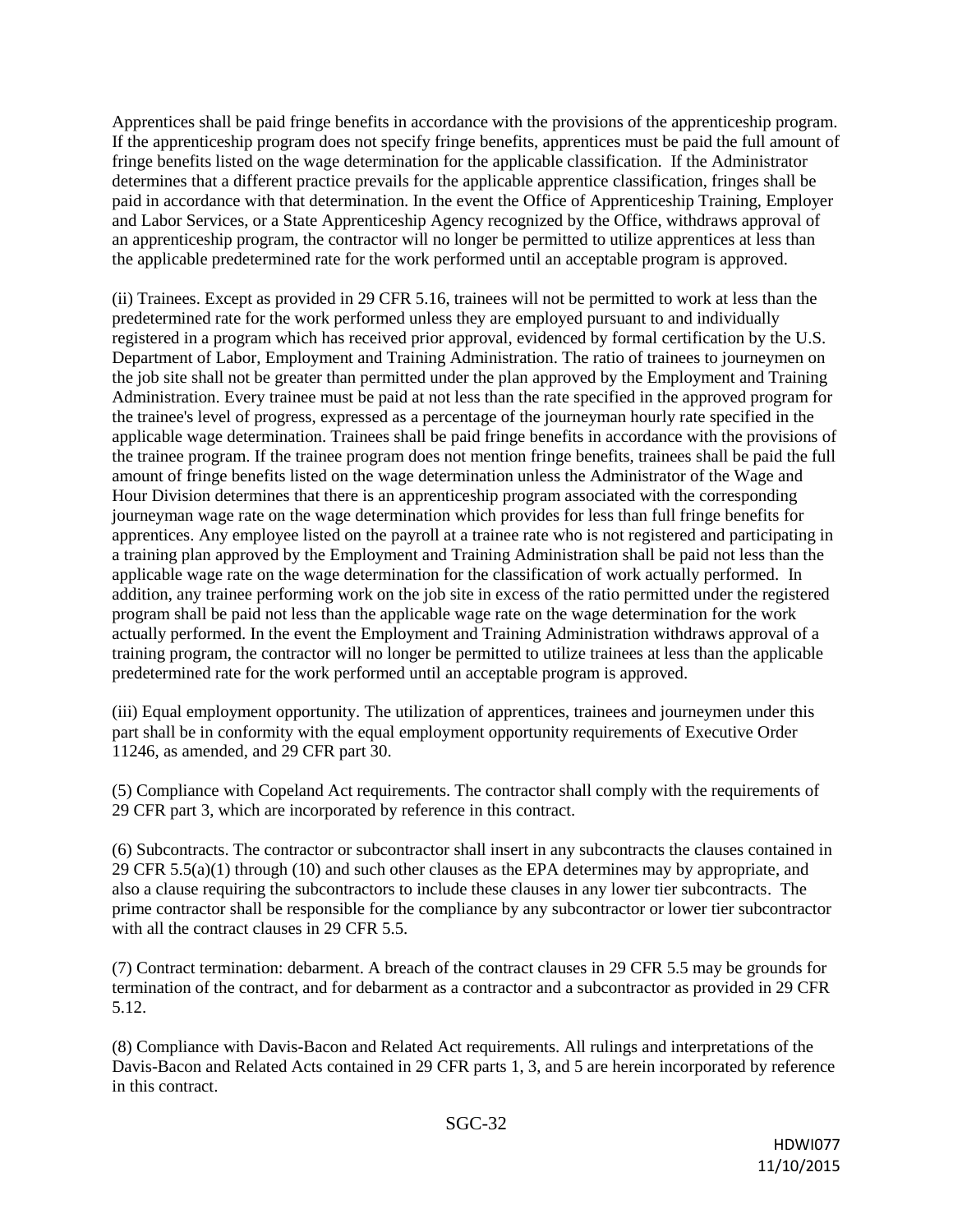Apprentices shall be paid fringe benefits in accordance with the provisions of the apprenticeship program. If the apprenticeship program does not specify fringe benefits, apprentices must be paid the full amount of fringe benefits listed on the wage determination for the applicable classification. If the Administrator determines that a different practice prevails for the applicable apprentice classification, fringes shall be paid in accordance with that determination. In the event the Office of Apprenticeship Training, Employer and Labor Services, or a State Apprenticeship Agency recognized by the Office, withdraws approval of an apprenticeship program, the contractor will no longer be permitted to utilize apprentices at less than the applicable predetermined rate for the work performed until an acceptable program is approved.

(ii) Trainees. Except as provided in 29 CFR 5.16, trainees will not be permitted to work at less than the predetermined rate for the work performed unless they are employed pursuant to and individually registered in a program which has received prior approval, evidenced by formal certification by the U.S. Department of Labor, Employment and Training Administration. The ratio of trainees to journeymen on the job site shall not be greater than permitted under the plan approved by the Employment and Training Administration. Every trainee must be paid at not less than the rate specified in the approved program for the trainee's level of progress, expressed as a percentage of the journeyman hourly rate specified in the applicable wage determination. Trainees shall be paid fringe benefits in accordance with the provisions of the trainee program. If the trainee program does not mention fringe benefits, trainees shall be paid the full amount of fringe benefits listed on the wage determination unless the Administrator of the Wage and Hour Division determines that there is an apprenticeship program associated with the corresponding journeyman wage rate on the wage determination which provides for less than full fringe benefits for apprentices. Any employee listed on the payroll at a trainee rate who is not registered and participating in a training plan approved by the Employment and Training Administration shall be paid not less than the applicable wage rate on the wage determination for the classification of work actually performed. In addition, any trainee performing work on the job site in excess of the ratio permitted under the registered program shall be paid not less than the applicable wage rate on the wage determination for the work actually performed. In the event the Employment and Training Administration withdraws approval of a training program, the contractor will no longer be permitted to utilize trainees at less than the applicable predetermined rate for the work performed until an acceptable program is approved.

(iii) Equal employment opportunity. The utilization of apprentices, trainees and journeymen under this part shall be in conformity with the equal employment opportunity requirements of Executive Order 11246, as amended, and 29 CFR part 30.

(5) Compliance with Copeland Act requirements. The contractor shall comply with the requirements of 29 CFR part 3, which are incorporated by reference in this contract.

(6) Subcontracts. The contractor or subcontractor shall insert in any subcontracts the clauses contained in 29 CFR  $5.5(a)(1)$  through (10) and such other clauses as the EPA determines may by appropriate, and also a clause requiring the subcontractors to include these clauses in any lower tier subcontracts. The prime contractor shall be responsible for the compliance by any subcontractor or lower tier subcontractor with all the contract clauses in 29 CFR 5.5.

(7) Contract termination: debarment. A breach of the contract clauses in 29 CFR 5.5 may be grounds for termination of the contract, and for debarment as a contractor and a subcontractor as provided in 29 CFR 5.12.

(8) Compliance with Davis-Bacon and Related Act requirements. All rulings and interpretations of the Davis-Bacon and Related Acts contained in 29 CFR parts 1, 3, and 5 are herein incorporated by reference in this contract.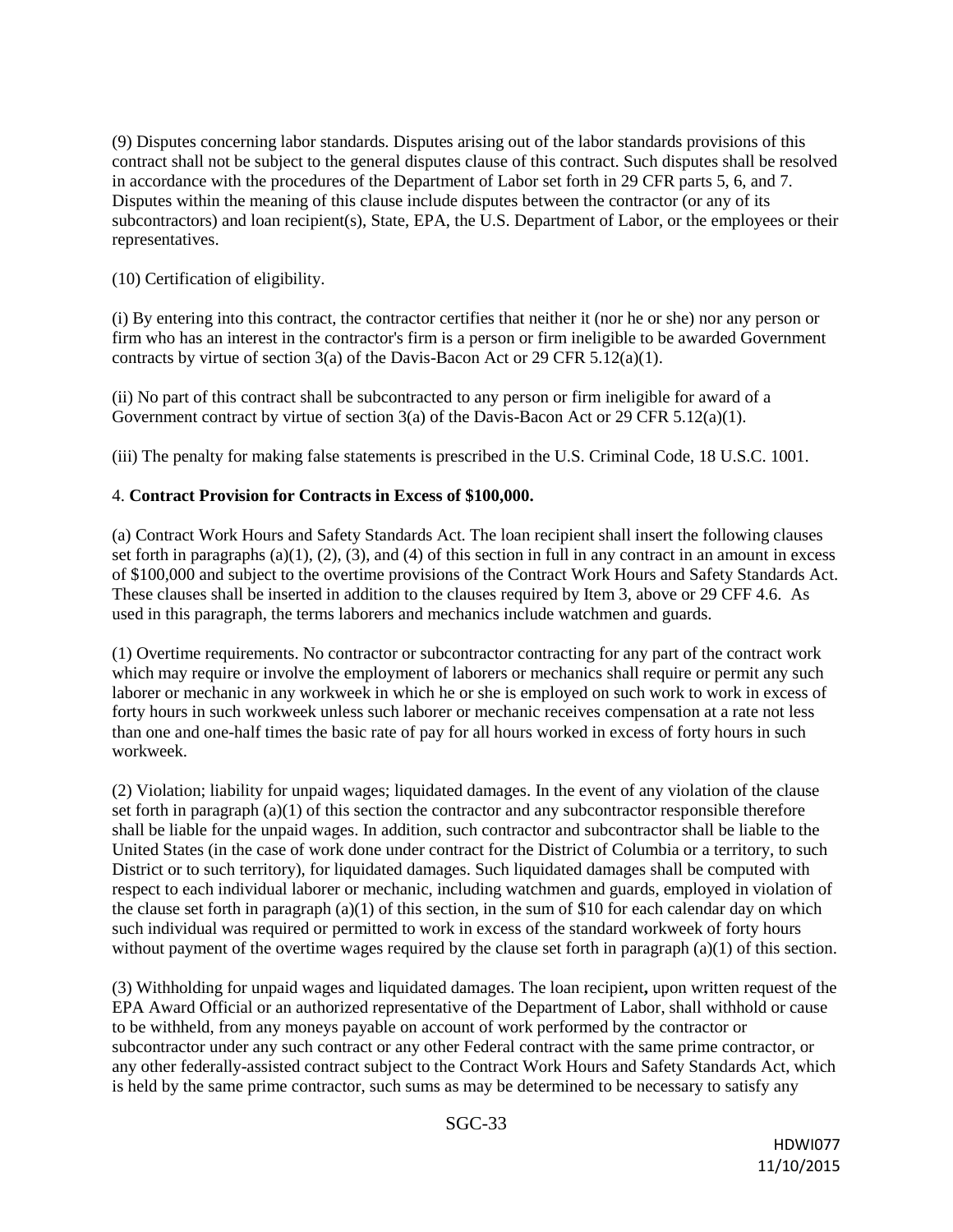(9) Disputes concerning labor standards. Disputes arising out of the labor standards provisions of this contract shall not be subject to the general disputes clause of this contract. Such disputes shall be resolved in accordance with the procedures of the Department of Labor set forth in 29 CFR parts 5, 6, and 7. Disputes within the meaning of this clause include disputes between the contractor (or any of its subcontractors) and loan recipient(s), State, EPA, the U.S. Department of Labor, or the employees or their representatives.

(10) Certification of eligibility.

(i) By entering into this contract, the contractor certifies that neither it (nor he or she) nor any person or firm who has an interest in the contractor's firm is a person or firm ineligible to be awarded Government contracts by virtue of section 3(a) of the Davis-Bacon Act or 29 CFR 5.12(a)(1).

(ii) No part of this contract shall be subcontracted to any person or firm ineligible for award of a Government contract by virtue of section 3(a) of the Davis-Bacon Act or 29 CFR 5.12(a)(1).

(iii) The penalty for making false statements is prescribed in the U.S. Criminal Code, 18 U.S.C. 1001.

#### 4. **Contract Provision for Contracts in Excess of \$100,000.**

(a) Contract Work Hours and Safety Standards Act. The loan recipient shall insert the following clauses set forth in paragraphs  $(a)(1), (2), (3),$  and  $(4)$  of this section in full in any contract in an amount in excess of \$100,000 and subject to the overtime provisions of the Contract Work Hours and Safety Standards Act. These clauses shall be inserted in addition to the clauses required by Item 3, above or 29 CFF 4.6. As used in this paragraph, the terms laborers and mechanics include watchmen and guards.

(1) Overtime requirements. No contractor or subcontractor contracting for any part of the contract work which may require or involve the employment of laborers or mechanics shall require or permit any such laborer or mechanic in any workweek in which he or she is employed on such work to work in excess of forty hours in such workweek unless such laborer or mechanic receives compensation at a rate not less than one and one-half times the basic rate of pay for all hours worked in excess of forty hours in such workweek.

(2) Violation; liability for unpaid wages; liquidated damages. In the event of any violation of the clause set forth in paragraph  $(a)(1)$  of this section the contractor and any subcontractor responsible therefore shall be liable for the unpaid wages. In addition, such contractor and subcontractor shall be liable to the United States (in the case of work done under contract for the District of Columbia or a territory, to such District or to such territory), for liquidated damages. Such liquidated damages shall be computed with respect to each individual laborer or mechanic, including watchmen and guards, employed in violation of the clause set forth in paragraph  $(a)(1)$  of this section, in the sum of \$10 for each calendar day on which such individual was required or permitted to work in excess of the standard workweek of forty hours without payment of the overtime wages required by the clause set forth in paragraph (a)(1) of this section.

(3) Withholding for unpaid wages and liquidated damages. The loan recipient**,** upon written request of the EPA Award Official or an authorized representative of the Department of Labor, shall withhold or cause to be withheld, from any moneys payable on account of work performed by the contractor or subcontractor under any such contract or any other Federal contract with the same prime contractor, or any other federally-assisted contract subject to the Contract Work Hours and Safety Standards Act, which is held by the same prime contractor, such sums as may be determined to be necessary to satisfy any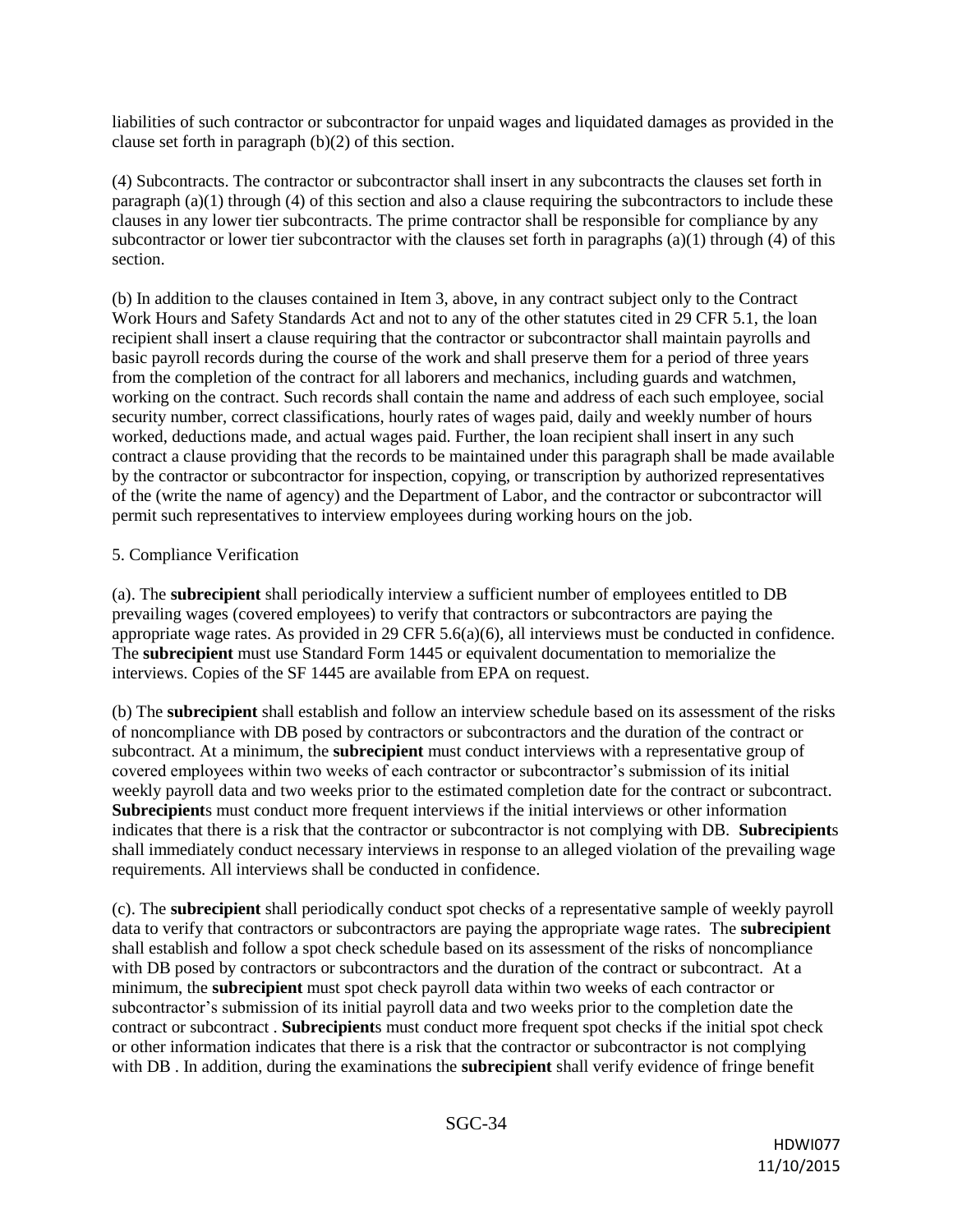liabilities of such contractor or subcontractor for unpaid wages and liquidated damages as provided in the clause set forth in paragraph (b)(2) of this section.

(4) Subcontracts. The contractor or subcontractor shall insert in any subcontracts the clauses set forth in paragraph (a)(1) through (4) of this section and also a clause requiring the subcontractors to include these clauses in any lower tier subcontracts. The prime contractor shall be responsible for compliance by any subcontractor or lower tier subcontractor with the clauses set forth in paragraphs (a)(1) through (4) of this section.

(b) In addition to the clauses contained in Item 3, above, in any contract subject only to the Contract Work Hours and Safety Standards Act and not to any of the other statutes cited in 29 CFR 5.1, the loan recipient shall insert a clause requiring that the contractor or subcontractor shall maintain payrolls and basic payroll records during the course of the work and shall preserve them for a period of three years from the completion of the contract for all laborers and mechanics, including guards and watchmen, working on the contract. Such records shall contain the name and address of each such employee, social security number, correct classifications, hourly rates of wages paid, daily and weekly number of hours worked, deductions made, and actual wages paid. Further, the loan recipient shall insert in any such contract a clause providing that the records to be maintained under this paragraph shall be made available by the contractor or subcontractor for inspection, copying, or transcription by authorized representatives of the (write the name of agency) and the Department of Labor, and the contractor or subcontractor will permit such representatives to interview employees during working hours on the job.

#### 5. Compliance Verification

(a). The **subrecipient** shall periodically interview a sufficient number of employees entitled to DB prevailing wages (covered employees) to verify that contractors or subcontractors are paying the appropriate wage rates. As provided in 29 CFR 5.6(a)(6), all interviews must be conducted in confidence. The **subrecipient** must use Standard Form 1445 or equivalent documentation to memorialize the interviews. Copies of the SF 1445 are available from EPA on request.

(b) The **subrecipient** shall establish and follow an interview schedule based on its assessment of the risks of noncompliance with DB posed by contractors or subcontractors and the duration of the contract or subcontract. At a minimum, the **subrecipient** must conduct interviews with a representative group of covered employees within two weeks of each contractor or subcontractor's submission of its initial weekly payroll data and two weeks prior to the estimated completion date for the contract or subcontract. **Subrecipient**s must conduct more frequent interviews if the initial interviews or other information indicates that there is a risk that the contractor or subcontractor is not complying with DB. **Subrecipient**s shall immediately conduct necessary interviews in response to an alleged violation of the prevailing wage requirements. All interviews shall be conducted in confidence.

(c). The **subrecipient** shall periodically conduct spot checks of a representative sample of weekly payroll data to verify that contractors or subcontractors are paying the appropriate wage rates. The **subrecipient** shall establish and follow a spot check schedule based on its assessment of the risks of noncompliance with DB posed by contractors or subcontractors and the duration of the contract or subcontract. At a minimum, the **subrecipient** must spot check payroll data within two weeks of each contractor or subcontractor's submission of its initial payroll data and two weeks prior to the completion date the contract or subcontract . **Subrecipient**s must conduct more frequent spot checks if the initial spot check or other information indicates that there is a risk that the contractor or subcontractor is not complying with DB . In addition, during the examinations the **subrecipient** shall verify evidence of fringe benefit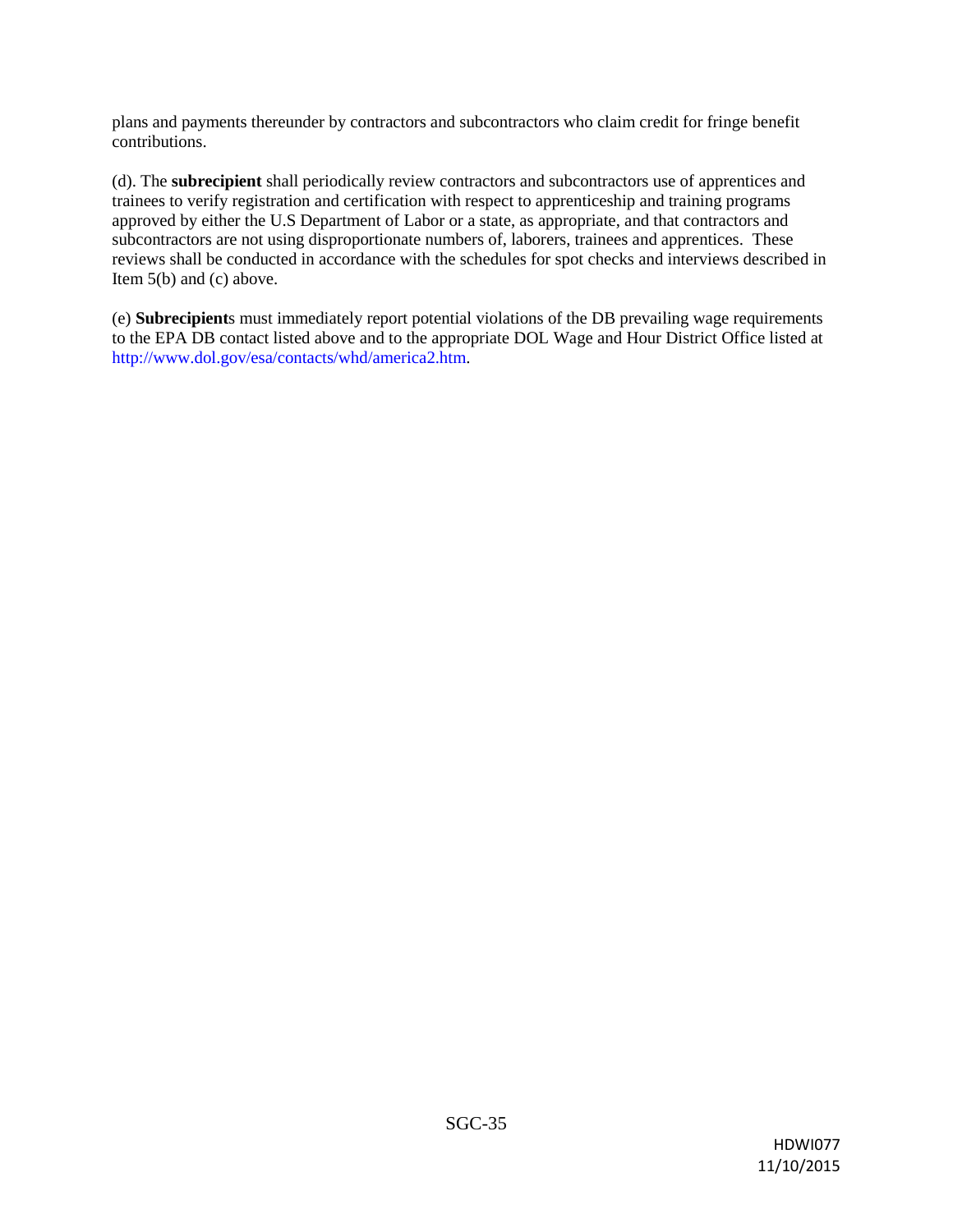plans and payments thereunder by contractors and subcontractors who claim credit for fringe benefit contributions.

(d). The **subrecipient** shall periodically review contractors and subcontractors use of apprentices and trainees to verify registration and certification with respect to apprenticeship and training programs approved by either the U.S Department of Labor or a state, as appropriate, and that contractors and subcontractors are not using disproportionate numbers of, laborers, trainees and apprentices. These reviews shall be conducted in accordance with the schedules for spot checks and interviews described in Item 5(b) and (c) above.

(e) **Subrecipient**s must immediately report potential violations of the DB prevailing wage requirements to the EPA DB contact listed above and to the appropriate DOL Wage and Hour District Office listed at http://www.dol.gov/esa/contacts/whd/america2.htm.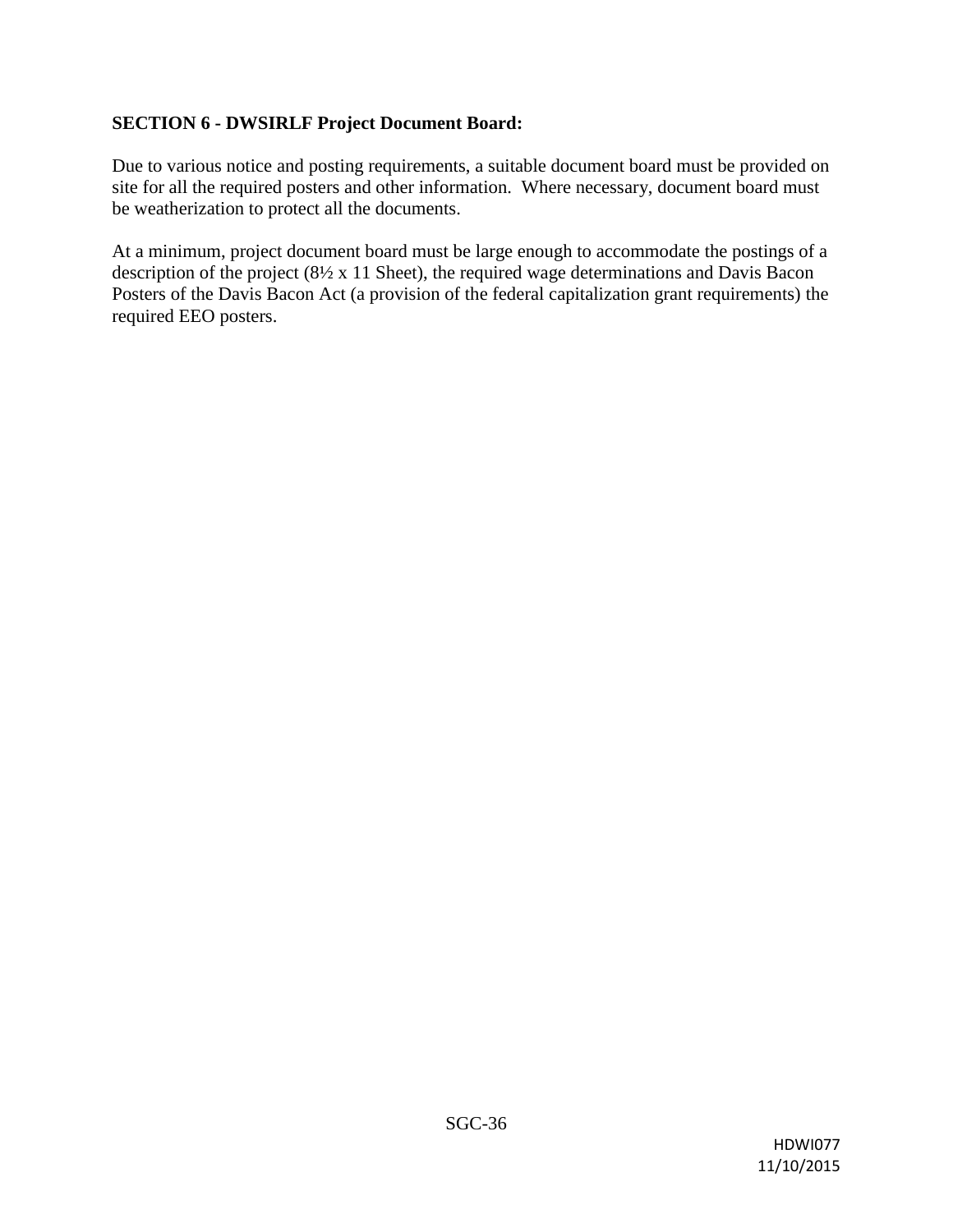### **SECTION 6 - DWSIRLF Project Document Board:**

Due to various notice and posting requirements, a suitable document board must be provided on site for all the required posters and other information. Where necessary, document board must be weatherization to protect all the documents.

At a minimum, project document board must be large enough to accommodate the postings of a description of the project (8½ x 11 Sheet), the required wage determinations and Davis Bacon Posters of the Davis Bacon Act (a provision of the federal capitalization grant requirements) the required EEO posters.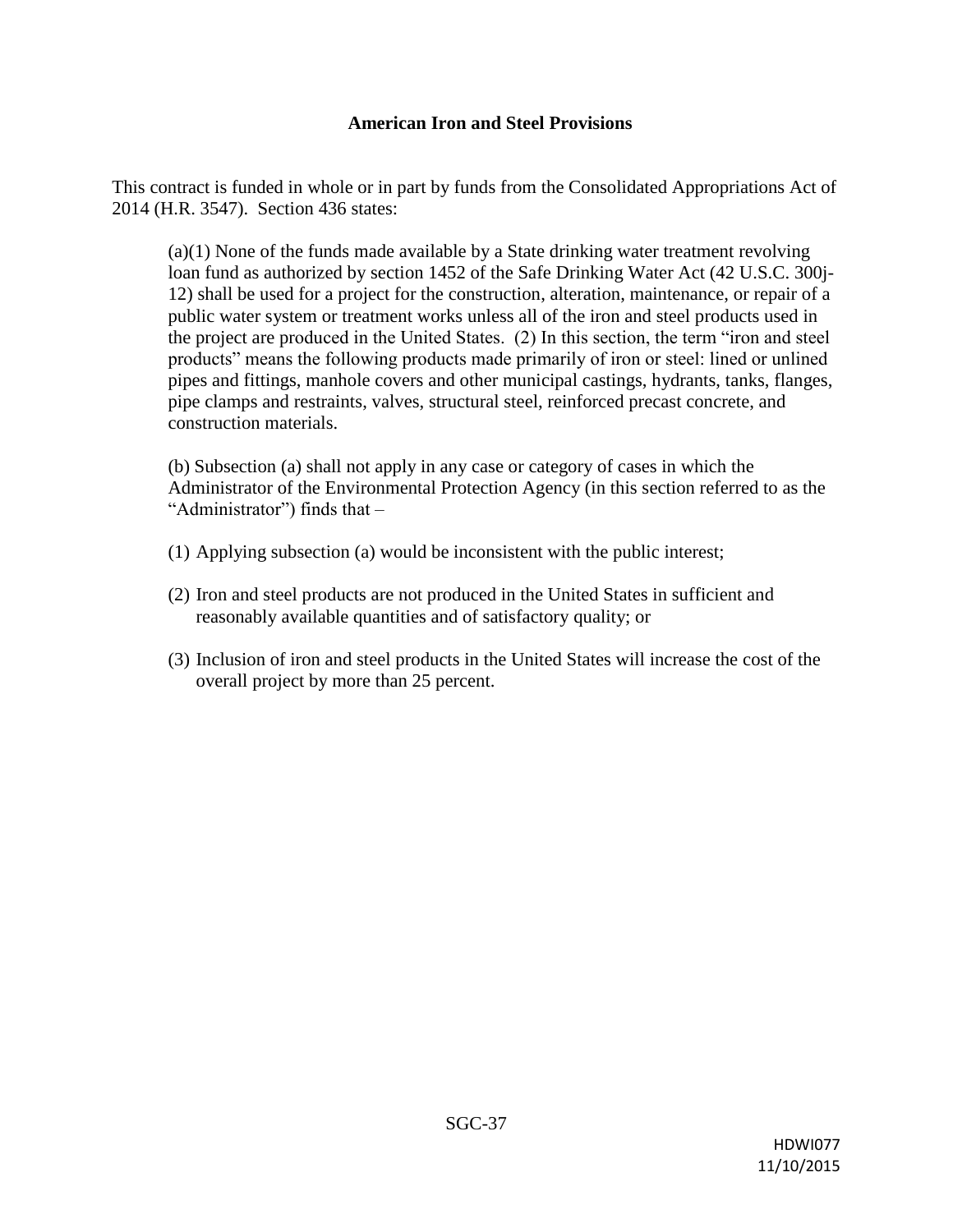#### **American Iron and Steel Provisions**

This contract is funded in whole or in part by funds from the Consolidated Appropriations Act of 2014 (H.R. 3547). Section 436 states:

(a)(1) None of the funds made available by a State drinking water treatment revolving loan fund as authorized by section 1452 of the Safe Drinking Water Act (42 U.S.C. 300j-12) shall be used for a project for the construction, alteration, maintenance, or repair of a public water system or treatment works unless all of the iron and steel products used in the project are produced in the United States. (2) In this section, the term "iron and steel products" means the following products made primarily of iron or steel: lined or unlined pipes and fittings, manhole covers and other municipal castings, hydrants, tanks, flanges, pipe clamps and restraints, valves, structural steel, reinforced precast concrete, and construction materials.

(b) Subsection (a) shall not apply in any case or category of cases in which the Administrator of the Environmental Protection Agency (in this section referred to as the "Administrator") finds that –

- (1) Applying subsection (a) would be inconsistent with the public interest;
- (2) Iron and steel products are not produced in the United States in sufficient and reasonably available quantities and of satisfactory quality; or
- (3) Inclusion of iron and steel products in the United States will increase the cost of the overall project by more than 25 percent.